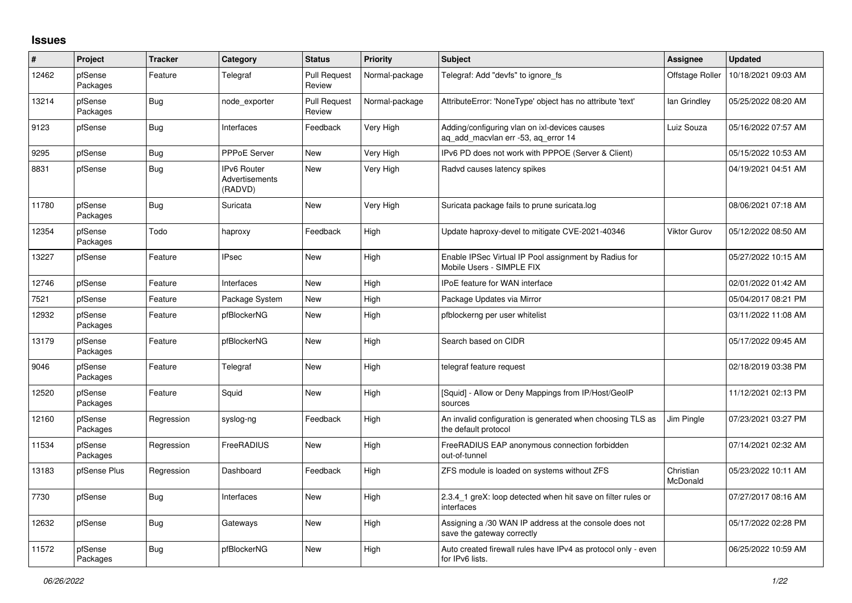## **Issues**

| #     | <b>Project</b>      | <b>Tracker</b> | Category                                 | <b>Status</b>                 | <b>Priority</b> | <b>Subject</b>                                                                       | <b>Assignee</b>       | <b>Updated</b>      |
|-------|---------------------|----------------|------------------------------------------|-------------------------------|-----------------|--------------------------------------------------------------------------------------|-----------------------|---------------------|
| 12462 | pfSense<br>Packages | Feature        | Telegraf                                 | <b>Pull Request</b><br>Review | Normal-package  | Telegraf: Add "devfs" to ignore fs                                                   | Offstage Roller       | 10/18/2021 09:03 AM |
| 13214 | pfSense<br>Packages | Bug            | node_exporter                            | <b>Pull Request</b><br>Review | Normal-package  | AttributeError: 'NoneType' object has no attribute 'text'                            | lan Grindley          | 05/25/2022 08:20 AM |
| 9123  | pfSense             | Bug            | Interfaces                               | Feedback                      | Very High       | Adding/configuring vlan on ixl-devices causes<br>ag add macvlan err -53, ag error 14 | Luiz Souza            | 05/16/2022 07:57 AM |
| 9295  | pfSense             | Bug            | <b>PPPoE Server</b>                      | <b>New</b>                    | Very High       | IPv6 PD does not work with PPPOE (Server & Client)                                   |                       | 05/15/2022 10:53 AM |
| 8831  | pfSense             | Bug            | IPv6 Router<br>Advertisements<br>(RADVD) | New                           | Very High       | Radvd causes latency spikes                                                          |                       | 04/19/2021 04:51 AM |
| 11780 | pfSense<br>Packages | Bug            | Suricata                                 | New                           | Very High       | Suricata package fails to prune suricata.log                                         |                       | 08/06/2021 07:18 AM |
| 12354 | pfSense<br>Packages | Todo           | haproxy                                  | Feedback                      | High            | Update haproxy-devel to mitigate CVE-2021-40346                                      | <b>Viktor Gurov</b>   | 05/12/2022 08:50 AM |
| 13227 | pfSense             | Feature        | <b>IPsec</b>                             | <b>New</b>                    | High            | Enable IPSec Virtual IP Pool assignment by Radius for<br>Mobile Users - SIMPLE FIX   |                       | 05/27/2022 10:15 AM |
| 12746 | pfSense             | Feature        | Interfaces                               | <b>New</b>                    | High            | <b>IPoE</b> feature for WAN interface                                                |                       | 02/01/2022 01:42 AM |
| 7521  | pfSense             | Feature        | Package System                           | New                           | High            | Package Updates via Mirror                                                           |                       | 05/04/2017 08:21 PM |
| 12932 | pfSense<br>Packages | Feature        | pfBlockerNG                              | New                           | High            | pfblockerng per user whitelist                                                       |                       | 03/11/2022 11:08 AM |
| 13179 | pfSense<br>Packages | Feature        | pfBlockerNG                              | New                           | High            | Search based on CIDR                                                                 |                       | 05/17/2022 09:45 AM |
| 9046  | pfSense<br>Packages | Feature        | Telegraf                                 | New                           | High            | telegraf feature request                                                             |                       | 02/18/2019 03:38 PM |
| 12520 | pfSense<br>Packages | Feature        | Squid                                    | New                           | High            | [Squid] - Allow or Deny Mappings from IP/Host/GeoIP<br>sources                       |                       | 11/12/2021 02:13 PM |
| 12160 | pfSense<br>Packages | Regression     | syslog-ng                                | Feedback                      | High            | An invalid configuration is generated when choosing TLS as<br>the default protocol   | Jim Pingle            | 07/23/2021 03:27 PM |
| 11534 | pfSense<br>Packages | Regression     | FreeRADIUS                               | New                           | High            | FreeRADIUS EAP anonymous connection forbidden<br>out-of-tunnel                       |                       | 07/14/2021 02:32 AM |
| 13183 | pfSense Plus        | Regression     | Dashboard                                | Feedback                      | High            | ZFS module is loaded on systems without ZFS                                          | Christian<br>McDonald | 05/23/2022 10:11 AM |
| 7730  | pfSense             | <b>Bug</b>     | Interfaces                               | <b>New</b>                    | High            | 2.3.4_1 greX: loop detected when hit save on filter rules or<br>interfaces           |                       | 07/27/2017 08:16 AM |
| 12632 | pfSense             | Bug            | Gateways                                 | New                           | High            | Assigning a /30 WAN IP address at the console does not<br>save the gateway correctly |                       | 05/17/2022 02:28 PM |
| 11572 | pfSense<br>Packages | <b>Bug</b>     | pfBlockerNG                              | <b>New</b>                    | High            | Auto created firewall rules have IPv4 as protocol only - even<br>for IPv6 lists.     |                       | 06/25/2022 10:59 AM |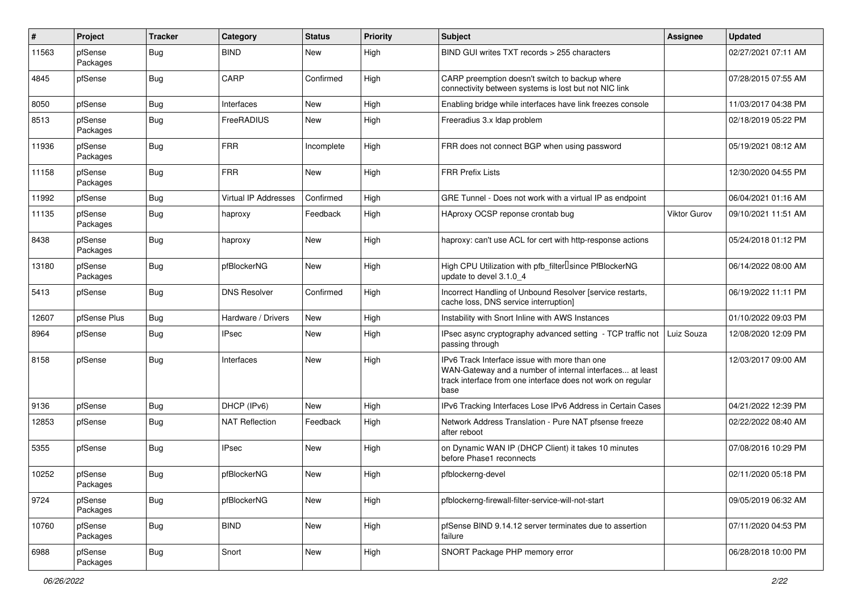| $\vert$ # | Project             | <b>Tracker</b> | Category                    | <b>Status</b> | <b>Priority</b> | <b>Subject</b>                                                                                                                                                                   | Assignee            | <b>Updated</b>      |
|-----------|---------------------|----------------|-----------------------------|---------------|-----------------|----------------------------------------------------------------------------------------------------------------------------------------------------------------------------------|---------------------|---------------------|
| 11563     | pfSense<br>Packages | Bug            | <b>BIND</b>                 | New           | High            | BIND GUI writes TXT records > 255 characters                                                                                                                                     |                     | 02/27/2021 07:11 AM |
| 4845      | pfSense             | Bug            | CARP                        | Confirmed     | High            | CARP preemption doesn't switch to backup where<br>connectivity between systems is lost but not NIC link                                                                          |                     | 07/28/2015 07:55 AM |
| 8050      | pfSense             | Bug            | Interfaces                  | <b>New</b>    | High            | Enabling bridge while interfaces have link freezes console                                                                                                                       |                     | 11/03/2017 04:38 PM |
| 8513      | pfSense<br>Packages | Bug            | FreeRADIUS                  | New           | High            | Freeradius 3.x Idap problem                                                                                                                                                      |                     | 02/18/2019 05:22 PM |
| 11936     | pfSense<br>Packages | Bug            | <b>FRR</b>                  | Incomplete    | High            | FRR does not connect BGP when using password                                                                                                                                     |                     | 05/19/2021 08:12 AM |
| 11158     | pfSense<br>Packages | Bug            | <b>FRR</b>                  | New           | High            | <b>FRR Prefix Lists</b>                                                                                                                                                          |                     | 12/30/2020 04:55 PM |
| 11992     | pfSense             | Bug            | <b>Virtual IP Addresses</b> | Confirmed     | High            | GRE Tunnel - Does not work with a virtual IP as endpoint                                                                                                                         |                     | 06/04/2021 01:16 AM |
| 11135     | pfSense<br>Packages | <b>Bug</b>     | haproxy                     | Feedback      | High            | HAproxy OCSP reponse crontab bug                                                                                                                                                 | <b>Viktor Gurov</b> | 09/10/2021 11:51 AM |
| 8438      | pfSense<br>Packages | Bug            | haproxy                     | New           | High            | haproxy: can't use ACL for cert with http-response actions                                                                                                                       |                     | 05/24/2018 01:12 PM |
| 13180     | pfSense<br>Packages | Bug            | pfBlockerNG                 | New           | High            | High CPU Utilization with pfb_filter <sup>[]</sup> since PfBlockerNG<br>update to devel 3.1.0 4                                                                                  |                     | 06/14/2022 08:00 AM |
| 5413      | pfSense             | Bug            | <b>DNS Resolver</b>         | Confirmed     | High            | Incorrect Handling of Unbound Resolver [service restarts,<br>cache loss, DNS service interruption]                                                                               |                     | 06/19/2022 11:11 PM |
| 12607     | pfSense Plus        | Bug            | Hardware / Drivers          | New           | High            | Instability with Snort Inline with AWS Instances                                                                                                                                 |                     | 01/10/2022 09:03 PM |
| 8964      | pfSense             | <b>Bug</b>     | <b>IPsec</b>                | New           | High            | IPsec async cryptography advanced setting - TCP traffic not<br>passing through                                                                                                   | Luiz Souza          | 12/08/2020 12:09 PM |
| 8158      | pfSense             | Bug            | Interfaces                  | New           | High            | IPv6 Track Interface issue with more than one<br>WAN-Gateway and a number of internal interfaces at least<br>track interface from one interface does not work on regular<br>base |                     | 12/03/2017 09:00 AM |
| 9136      | pfSense             | Bug            | DHCP (IPv6)                 | New           | High            | IPv6 Tracking Interfaces Lose IPv6 Address in Certain Cases                                                                                                                      |                     | 04/21/2022 12:39 PM |
| 12853     | pfSense             | Bug            | <b>NAT Reflection</b>       | Feedback      | High            | Network Address Translation - Pure NAT pfsense freeze<br>after reboot                                                                                                            |                     | 02/22/2022 08:40 AM |
| 5355      | pfSense             | Bug            | <b>IPsec</b>                | New           | High            | on Dynamic WAN IP (DHCP Client) it takes 10 minutes<br>before Phase1 reconnects                                                                                                  |                     | 07/08/2016 10:29 PM |
| 10252     | pfSense<br>Packages | Bug            | pfBlockerNG                 | New           | High            | pfblockerng-devel                                                                                                                                                                |                     | 02/11/2020 05:18 PM |
| 9724      | pfSense<br>Packages | Bug            | pfBlockerNG                 | New           | High            | pfblockerng-firewall-filter-service-will-not-start                                                                                                                               |                     | 09/05/2019 06:32 AM |
| 10760     | pfSense<br>Packages | <b>Bug</b>     | <b>BIND</b>                 | New           | High            | pfSense BIND 9.14.12 server terminates due to assertion<br>failure                                                                                                               |                     | 07/11/2020 04:53 PM |
| 6988      | pfSense<br>Packages | Bug            | Snort                       | New           | High            | SNORT Package PHP memory error                                                                                                                                                   |                     | 06/28/2018 10:00 PM |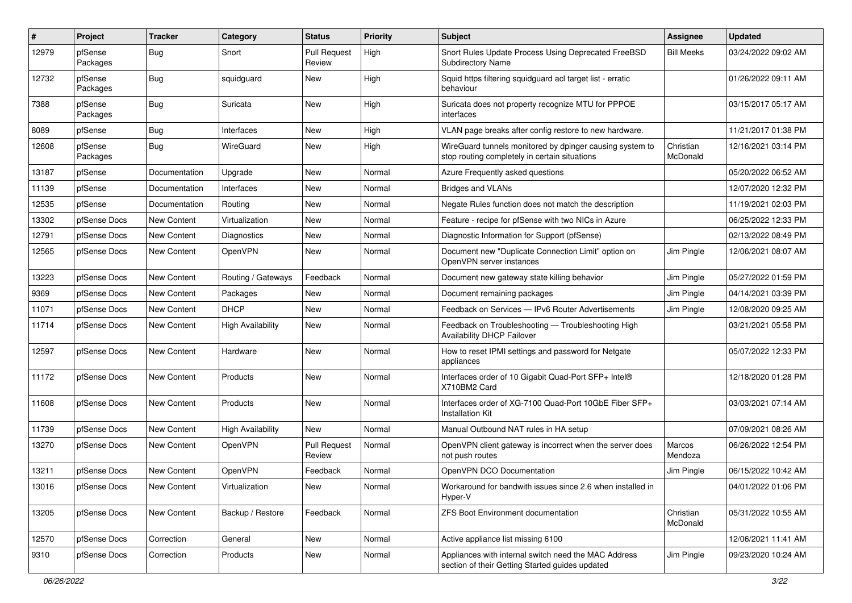| $\vert$ # | Project             | <b>Tracker</b> | Category                 | <b>Status</b>                 | <b>Priority</b> | <b>Subject</b>                                                                                            | <b>Assignee</b>       | <b>Updated</b>      |
|-----------|---------------------|----------------|--------------------------|-------------------------------|-----------------|-----------------------------------------------------------------------------------------------------------|-----------------------|---------------------|
| 12979     | pfSense<br>Packages | Bug            | Snort                    | <b>Pull Request</b><br>Review | High            | Snort Rules Update Process Using Deprecated FreeBSD<br><b>Subdirectory Name</b>                           | <b>Bill Meeks</b>     | 03/24/2022 09:02 AM |
| 12732     | pfSense<br>Packages | Bug            | squidguard               | New                           | High            | Squid https filtering squidguard acl target list - erratic<br>behaviour                                   |                       | 01/26/2022 09:11 AM |
| 7388      | pfSense<br>Packages | Bug            | Suricata                 | New                           | High            | Suricata does not property recognize MTU for PPPOE<br>interfaces                                          |                       | 03/15/2017 05:17 AM |
| 8089      | pfSense             | <b>Bug</b>     | Interfaces               | New                           | High            | VLAN page breaks after config restore to new hardware.                                                    |                       | 11/21/2017 01:38 PM |
| 12608     | pfSense<br>Packages | Bug            | WireGuard                | New                           | High            | WireGuard tunnels monitored by dpinger causing system to<br>stop routing completely in certain situations | Christian<br>McDonald | 12/16/2021 03:14 PM |
| 13187     | pfSense             | Documentation  | Upgrade                  | New                           | Normal          | Azure Frequently asked questions                                                                          |                       | 05/20/2022 06:52 AM |
| 11139     | pfSense             | Documentation  | Interfaces               | New                           | Normal          | <b>Bridges and VLANs</b>                                                                                  |                       | 12/07/2020 12:32 PM |
| 12535     | pfSense             | Documentation  | Routing                  | New                           | Normal          | Negate Rules function does not match the description                                                      |                       | 11/19/2021 02:03 PM |
| 13302     | pfSense Docs        | New Content    | Virtualization           | New                           | Normal          | Feature - recipe for pfSense with two NICs in Azure                                                       |                       | 06/25/2022 12:33 PM |
| 12791     | pfSense Docs        | New Content    | Diagnostics              | New                           | Normal          | Diagnostic Information for Support (pfSense)                                                              |                       | 02/13/2022 08:49 PM |
| 12565     | pfSense Docs        | New Content    | OpenVPN                  | New                           | Normal          | Document new "Duplicate Connection Limit" option on<br>OpenVPN server instances                           | Jim Pingle            | 12/06/2021 08:07 AM |
| 13223     | pfSense Docs        | New Content    | Routing / Gateways       | Feedback                      | Normal          | Document new gateway state killing behavior                                                               | Jim Pingle            | 05/27/2022 01:59 PM |
| 9369      | pfSense Docs        | New Content    | Packages                 | New                           | Normal          | Document remaining packages                                                                               | Jim Pingle            | 04/14/2021 03:39 PM |
| 11071     | pfSense Docs        | New Content    | <b>DHCP</b>              | New                           | Normal          | Feedback on Services - IPv6 Router Advertisements                                                         | Jim Pingle            | 12/08/2020 09:25 AM |
| 11714     | pfSense Docs        | New Content    | <b>High Availability</b> | New                           | Normal          | Feedback on Troubleshooting - Troubleshooting High<br><b>Availability DHCP Failover</b>                   |                       | 03/21/2021 05:58 PM |
| 12597     | pfSense Docs        | New Content    | Hardware                 | New                           | Normal          | How to reset IPMI settings and password for Netgate<br>appliances                                         |                       | 05/07/2022 12:33 PM |
| 11172     | pfSense Docs        | New Content    | Products                 | New                           | Normal          | Interfaces order of 10 Gigabit Quad-Port SFP+ Intel®<br>X710BM2 Card                                      |                       | 12/18/2020 01:28 PM |
| 11608     | pfSense Docs        | New Content    | Products                 | New                           | Normal          | Interfaces order of XG-7100 Quad-Port 10GbE Fiber SFP+<br>Installation Kit                                |                       | 03/03/2021 07:14 AM |
| 11739     | pfSense Docs        | New Content    | <b>High Availability</b> | New                           | Normal          | Manual Outbound NAT rules in HA setup                                                                     |                       | 07/09/2021 08:26 AM |
| 13270     | pfSense Docs        | New Content    | OpenVPN                  | <b>Pull Request</b><br>Review | Normal          | OpenVPN client gateway is incorrect when the server does<br>not push routes                               | Marcos<br>Mendoza     | 06/26/2022 12:54 PM |
| 13211     | pfSense Docs        | New Content    | OpenVPN                  | Feedback                      | Normal          | OpenVPN DCO Documentation                                                                                 | Jim Pingle            | 06/15/2022 10:42 AM |
| 13016     | pfSense Docs        | New Content    | Virtualization           | New                           | Normal          | Workaround for bandwith issues since 2.6 when installed in<br>Hyper-V                                     |                       | 04/01/2022 01:06 PM |
| 13205     | pfSense Docs        | New Content    | Backup / Restore         | Feedback                      | Normal          | ZFS Boot Environment documentation                                                                        | Christian<br>McDonald | 05/31/2022 10:55 AM |
| 12570     | pfSense Docs        | Correction     | General                  | New                           | Normal          | Active appliance list missing 6100                                                                        |                       | 12/06/2021 11:41 AM |
| 9310      | pfSense Docs        | Correction     | Products                 | New                           | Normal          | Appliances with internal switch need the MAC Address<br>section of their Getting Started guides updated   | Jim Pingle            | 09/23/2020 10:24 AM |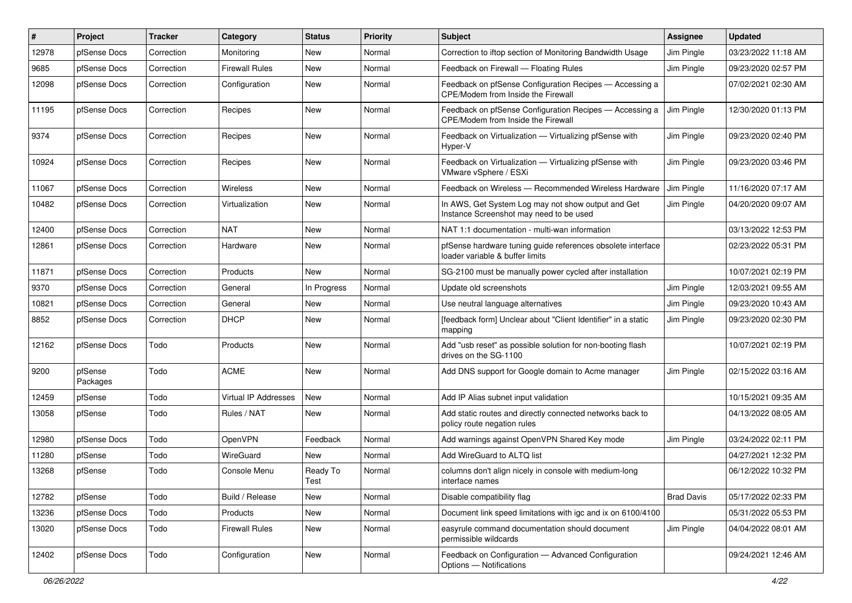| #     | Project             | <b>Tracker</b> | Category              | <b>Status</b>    | <b>Priority</b> | Subject                                                                                        | <b>Assignee</b>   | <b>Updated</b>      |
|-------|---------------------|----------------|-----------------------|------------------|-----------------|------------------------------------------------------------------------------------------------|-------------------|---------------------|
| 12978 | pfSense Docs        | Correction     | Monitoring            | New              | Normal          | Correction to iftop section of Monitoring Bandwidth Usage                                      | Jim Pingle        | 03/23/2022 11:18 AM |
| 9685  | pfSense Docs        | Correction     | <b>Firewall Rules</b> | New              | Normal          | Feedback on Firewall - Floating Rules                                                          | Jim Pingle        | 09/23/2020 02:57 PM |
| 12098 | pfSense Docs        | Correction     | Configuration         | New              | Normal          | Feedback on pfSense Configuration Recipes - Accessing a<br>CPE/Modem from Inside the Firewall  |                   | 07/02/2021 02:30 AM |
| 11195 | pfSense Docs        | Correction     | Recipes               | New              | Normal          | Feedback on pfSense Configuration Recipes - Accessing a<br>CPE/Modem from Inside the Firewall  | Jim Pingle        | 12/30/2020 01:13 PM |
| 9374  | pfSense Docs        | Correction     | Recipes               | New              | Normal          | Feedback on Virtualization - Virtualizing pfSense with<br>Hyper-V                              | Jim Pingle        | 09/23/2020 02:40 PM |
| 10924 | pfSense Docs        | Correction     | Recipes               | New              | Normal          | Feedback on Virtualization - Virtualizing pfSense with<br>VMware vSphere / ESXi                | Jim Pingle        | 09/23/2020 03:46 PM |
| 11067 | pfSense Docs        | Correction     | <b>Wireless</b>       | New              | Normal          | Feedback on Wireless — Recommended Wireless Hardware                                           | Jim Pingle        | 11/16/2020 07:17 AM |
| 10482 | pfSense Docs        | Correction     | Virtualization        | New              | Normal          | In AWS, Get System Log may not show output and Get<br>Instance Screenshot may need to be used  | Jim Pingle        | 04/20/2020 09:07 AM |
| 12400 | pfSense Docs        | Correction     | <b>NAT</b>            | New              | Normal          | NAT 1:1 documentation - multi-wan information                                                  |                   | 03/13/2022 12:53 PM |
| 12861 | pfSense Docs        | Correction     | Hardware              | New              | Normal          | pfSense hardware tuning guide references obsolete interface<br>loader variable & buffer limits |                   | 02/23/2022 05:31 PM |
| 11871 | pfSense Docs        | Correction     | Products              | New              | Normal          | SG-2100 must be manually power cycled after installation                                       |                   | 10/07/2021 02:19 PM |
| 9370  | pfSense Docs        | Correction     | General               | In Progress      | Normal          | Update old screenshots                                                                         | Jim Pingle        | 12/03/2021 09:55 AM |
| 10821 | pfSense Docs        | Correction     | General               | New              | Normal          | Use neutral language alternatives                                                              | Jim Pingle        | 09/23/2020 10:43 AM |
| 8852  | pfSense Docs        | Correction     | <b>DHCP</b>           | New              | Normal          | [feedback form] Unclear about "Client Identifier" in a static<br>mapping                       | Jim Pingle        | 09/23/2020 02:30 PM |
| 12162 | pfSense Docs        | Todo           | Products              | New              | Normal          | Add "usb reset" as possible solution for non-booting flash<br>drives on the SG-1100            |                   | 10/07/2021 02:19 PM |
| 9200  | pfSense<br>Packages | Todo           | <b>ACME</b>           | New              | Normal          | Add DNS support for Google domain to Acme manager                                              | Jim Pingle        | 02/15/2022 03:16 AM |
| 12459 | pfSense             | Todo           | Virtual IP Addresses  | New              | Normal          | Add IP Alias subnet input validation                                                           |                   | 10/15/2021 09:35 AM |
| 13058 | pfSense             | Todo           | Rules / NAT           | New              | Normal          | Add static routes and directly connected networks back to<br>policy route negation rules       |                   | 04/13/2022 08:05 AM |
| 12980 | pfSense Docs        | Todo           | OpenVPN               | Feedback         | Normal          | Add warnings against OpenVPN Shared Key mode                                                   | Jim Pingle        | 03/24/2022 02:11 PM |
| 11280 | pfSense             | Todo           | WireGuard             | New              | Normal          | Add WireGuard to ALTQ list                                                                     |                   | 04/27/2021 12:32 PM |
| 13268 | pfSense             | Todo           | Console Menu          | Ready To<br>Test | Normal          | columns don't align nicely in console with medium-long<br>interface names                      |                   | 06/12/2022 10:32 PM |
| 12782 | pfSense             | Todo           | Build / Release       | New              | Normal          | Disable compatibility flag                                                                     | <b>Brad Davis</b> | 05/17/2022 02:33 PM |
| 13236 | pfSense Docs        | Todo           | Products              | New              | Normal          | Document link speed limitations with igc and ix on 6100/4100                                   |                   | 05/31/2022 05:53 PM |
| 13020 | pfSense Docs        | Todo           | <b>Firewall Rules</b> | New              | Normal          | easyrule command documentation should document<br>permissible wildcards                        | Jim Pingle        | 04/04/2022 08:01 AM |
| 12402 | pfSense Docs        | Todo           | Configuration         | New              | Normal          | Feedback on Configuration - Advanced Configuration<br>Options - Notifications                  |                   | 09/24/2021 12:46 AM |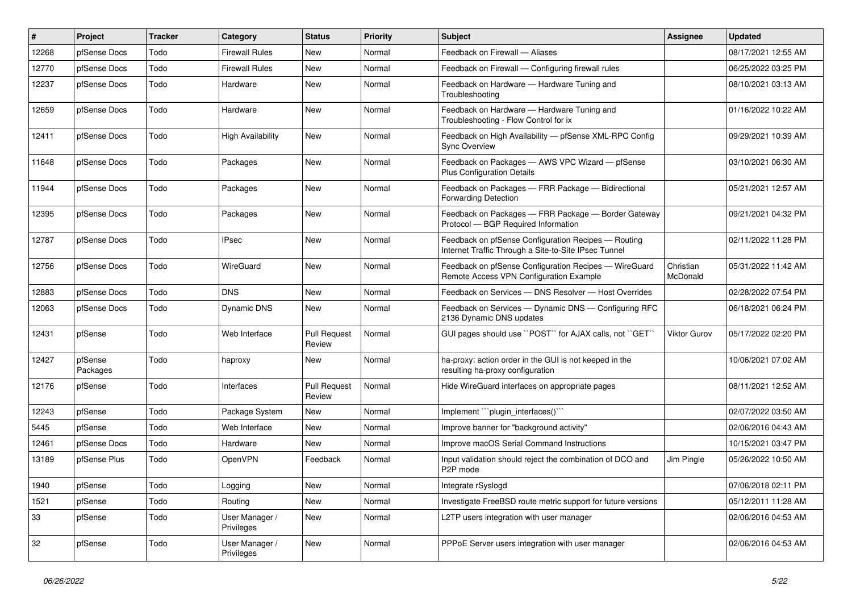| #     | Project             | <b>Tracker</b> | Category                     | <b>Status</b>                 | <b>Priority</b> | <b>Subject</b>                                                                                              | <b>Assignee</b>       | <b>Updated</b>      |
|-------|---------------------|----------------|------------------------------|-------------------------------|-----------------|-------------------------------------------------------------------------------------------------------------|-----------------------|---------------------|
| 12268 | pfSense Docs        | Todo           | Firewall Rules               | <b>New</b>                    | Normal          | Feedback on Firewall - Aliases                                                                              |                       | 08/17/2021 12:55 AM |
| 12770 | pfSense Docs        | Todo           | <b>Firewall Rules</b>        | <b>New</b>                    | Normal          | Feedback on Firewall - Configuring firewall rules                                                           |                       | 06/25/2022 03:25 PM |
| 12237 | pfSense Docs        | Todo           | Hardware                     | New                           | Normal          | Feedback on Hardware - Hardware Tuning and<br>Troubleshooting                                               |                       | 08/10/2021 03:13 AM |
| 12659 | pfSense Docs        | Todo           | Hardware                     | New                           | Normal          | Feedback on Hardware - Hardware Tuning and<br>Troubleshooting - Flow Control for ix                         |                       | 01/16/2022 10:22 AM |
| 12411 | pfSense Docs        | Todo           | <b>High Availability</b>     | <b>New</b>                    | Normal          | Feedback on High Availability - pfSense XML-RPC Config<br><b>Sync Overview</b>                              |                       | 09/29/2021 10:39 AM |
| 11648 | pfSense Docs        | Todo           | Packages                     | <b>New</b>                    | Normal          | Feedback on Packages - AWS VPC Wizard - pfSense<br><b>Plus Configuration Details</b>                        |                       | 03/10/2021 06:30 AM |
| 11944 | pfSense Docs        | Todo           | Packages                     | <b>New</b>                    | Normal          | Feedback on Packages - FRR Package - Bidirectional<br>Forwarding Detection                                  |                       | 05/21/2021 12:57 AM |
| 12395 | pfSense Docs        | Todo           | Packages                     | <b>New</b>                    | Normal          | Feedback on Packages - FRR Package - Border Gateway<br>Protocol - BGP Required Information                  |                       | 09/21/2021 04:32 PM |
| 12787 | pfSense Docs        | Todo           | <b>IPsec</b>                 | <b>New</b>                    | Normal          | Feedback on pfSense Configuration Recipes - Routing<br>Internet Traffic Through a Site-to-Site IPsec Tunnel |                       | 02/11/2022 11:28 PM |
| 12756 | pfSense Docs        | Todo           | WireGuard                    | <b>New</b>                    | Normal          | Feedback on pfSense Configuration Recipes - WireGuard<br>Remote Access VPN Configuration Example            | Christian<br>McDonald | 05/31/2022 11:42 AM |
| 12883 | pfSense Docs        | Todo           | <b>DNS</b>                   | <b>New</b>                    | Normal          | Feedback on Services - DNS Resolver - Host Overrides                                                        |                       | 02/28/2022 07:54 PM |
| 12063 | pfSense Docs        | Todo           | Dynamic DNS                  | <b>New</b>                    | Normal          | Feedback on Services - Dynamic DNS - Configuring RFC<br>2136 Dynamic DNS updates                            |                       | 06/18/2021 06:24 PM |
| 12431 | pfSense             | Todo           | Web Interface                | <b>Pull Request</b><br>Review | Normal          | GUI pages should use "POST" for AJAX calls, not "GET"                                                       | <b>Viktor Gurov</b>   | 05/17/2022 02:20 PM |
| 12427 | pfSense<br>Packages | Todo           | haproxy                      | <b>New</b>                    | Normal          | ha-proxy: action order in the GUI is not keeped in the<br>resulting ha-proxy configuration                  |                       | 10/06/2021 07:02 AM |
| 12176 | pfSense             | Todo           | Interfaces                   | <b>Pull Request</b><br>Review | Normal          | Hide WireGuard interfaces on appropriate pages                                                              |                       | 08/11/2021 12:52 AM |
| 12243 | pfSense             | Todo           | Package System               | <b>New</b>                    | Normal          | Implement "plugin_interfaces()"                                                                             |                       | 02/07/2022 03:50 AM |
| 5445  | pfSense             | Todo           | Web Interface                | <b>New</b>                    | Normal          | Improve banner for "background activity"                                                                    |                       | 02/06/2016 04:43 AM |
| 12461 | pfSense Docs        | Todo           | Hardware                     | New                           | Normal          | Improve macOS Serial Command Instructions                                                                   |                       | 10/15/2021 03:47 PM |
| 13189 | pfSense Plus        | Todo           | OpenVPN                      | Feedback                      | Normal          | Input validation should reject the combination of DCO and<br>P <sub>2</sub> P mode                          | Jim Pingle            | 05/26/2022 10:50 AM |
| 1940  | pfSense             | Todo           | Logging                      | New                           | Normal          | Integrate rSyslogd                                                                                          |                       | 07/06/2018 02:11 PM |
| 1521  | pfSense             | Todo           | Routing                      | New                           | Normal          | Investigate FreeBSD route metric support for future versions                                                |                       | 05/12/2011 11:28 AM |
| 33    | pfSense             | Todo           | User Manager /<br>Privileges | New                           | Normal          | L2TP users integration with user manager                                                                    |                       | 02/06/2016 04:53 AM |
| 32    | pfSense             | Todo           | User Manager /<br>Privileges | New                           | Normal          | PPPoE Server users integration with user manager                                                            |                       | 02/06/2016 04:53 AM |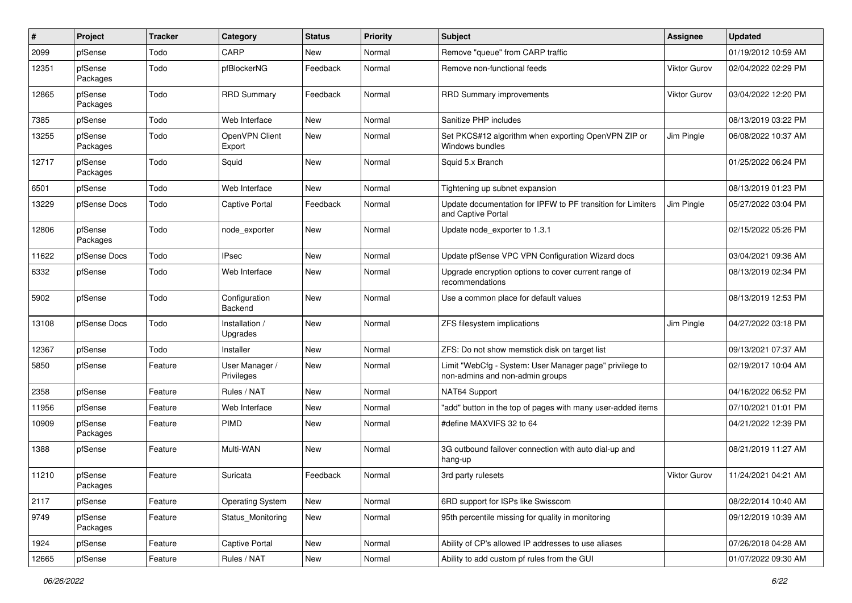| ∦     | Project             | <b>Tracker</b> | Category                     | <b>Status</b> | <b>Priority</b> | <b>Subject</b>                                                                             | <b>Assignee</b>     | <b>Updated</b>      |
|-------|---------------------|----------------|------------------------------|---------------|-----------------|--------------------------------------------------------------------------------------------|---------------------|---------------------|
| 2099  | pfSense             | Todo           | CARP                         | New           | Normal          | Remove "queue" from CARP traffic                                                           |                     | 01/19/2012 10:59 AM |
| 12351 | pfSense<br>Packages | Todo           | pfBlockerNG                  | Feedback      | Normal          | Remove non-functional feeds                                                                | <b>Viktor Gurov</b> | 02/04/2022 02:29 PM |
| 12865 | pfSense<br>Packages | Todo           | <b>RRD Summary</b>           | Feedback      | Normal          | <b>RRD Summary improvements</b>                                                            | <b>Viktor Gurov</b> | 03/04/2022 12:20 PM |
| 7385  | pfSense             | Todo           | Web Interface                | <b>New</b>    | Normal          | Sanitize PHP includes                                                                      |                     | 08/13/2019 03:22 PM |
| 13255 | pfSense<br>Packages | Todo           | OpenVPN Client<br>Export     | New           | Normal          | Set PKCS#12 algorithm when exporting OpenVPN ZIP or<br>Windows bundles                     | Jim Pingle          | 06/08/2022 10:37 AM |
| 12717 | pfSense<br>Packages | Todo           | Squid                        | New           | Normal          | Squid 5.x Branch                                                                           |                     | 01/25/2022 06:24 PM |
| 6501  | pfSense             | Todo           | Web Interface                | New           | Normal          | Tightening up subnet expansion                                                             |                     | 08/13/2019 01:23 PM |
| 13229 | pfSense Docs        | Todo           | <b>Captive Portal</b>        | Feedback      | Normal          | Update documentation for IPFW to PF transition for Limiters<br>and Captive Portal          | Jim Pingle          | 05/27/2022 03:04 PM |
| 12806 | pfSense<br>Packages | Todo           | node exporter                | New           | Normal          | Update node exporter to 1.3.1                                                              |                     | 02/15/2022 05:26 PM |
| 11622 | pfSense Docs        | Todo           | <b>IPsec</b>                 | New           | Normal          | Update pfSense VPC VPN Configuration Wizard docs                                           |                     | 03/04/2021 09:36 AM |
| 6332  | pfSense             | Todo           | Web Interface                | <b>New</b>    | Normal          | Upgrade encryption options to cover current range of<br>recommendations                    |                     | 08/13/2019 02:34 PM |
| 5902  | pfSense             | Todo           | Configuration<br>Backend     | <b>New</b>    | Normal          | Use a common place for default values                                                      |                     | 08/13/2019 12:53 PM |
| 13108 | pfSense Docs        | Todo           | Installation /<br>Upgrades   | New           | Normal          | ZFS filesystem implications                                                                | Jim Pingle          | 04/27/2022 03:18 PM |
| 12367 | pfSense             | Todo           | Installer                    | <b>New</b>    | Normal          | ZFS: Do not show memstick disk on target list                                              |                     | 09/13/2021 07:37 AM |
| 5850  | pfSense             | Feature        | User Manager /<br>Privileges | New           | Normal          | Limit "WebCfg - System: User Manager page" privilege to<br>non-admins and non-admin groups |                     | 02/19/2017 10:04 AM |
| 2358  | pfSense             | Feature        | Rules / NAT                  | <b>New</b>    | Normal          | NAT64 Support                                                                              |                     | 04/16/2022 06:52 PM |
| 11956 | pfSense             | Feature        | Web Interface                | New           | Normal          | "add" button in the top of pages with many user-added items                                |                     | 07/10/2021 01:01 PM |
| 10909 | pfSense<br>Packages | Feature        | <b>PIMD</b>                  | New           | Normal          | #define MAXVIFS 32 to 64                                                                   |                     | 04/21/2022 12:39 PM |
| 1388  | pfSense             | Feature        | Multi-WAN                    | <b>New</b>    | Normal          | 3G outbound failover connection with auto dial-up and<br>hang-up                           |                     | 08/21/2019 11:27 AM |
| 11210 | pfSense<br>Packages | Feature        | Suricata                     | Feedback      | Normal          | 3rd party rulesets                                                                         | <b>Viktor Gurov</b> | 11/24/2021 04:21 AM |
| 2117  | pfSense             | Feature        | <b>Operating System</b>      | New           | Normal          | 6RD support for ISPs like Swisscom                                                         |                     | 08/22/2014 10:40 AM |
| 9749  | pfSense<br>Packages | Feature        | Status_Monitoring            | New           | Normal          | 95th percentile missing for quality in monitoring                                          |                     | 09/12/2019 10:39 AM |
| 1924  | pfSense             | Feature        | Captive Portal               | New           | Normal          | Ability of CP's allowed IP addresses to use aliases                                        |                     | 07/26/2018 04:28 AM |
| 12665 | pfSense             | Feature        | Rules / NAT                  | New           | Normal          | Ability to add custom pf rules from the GUI                                                |                     | 01/07/2022 09:30 AM |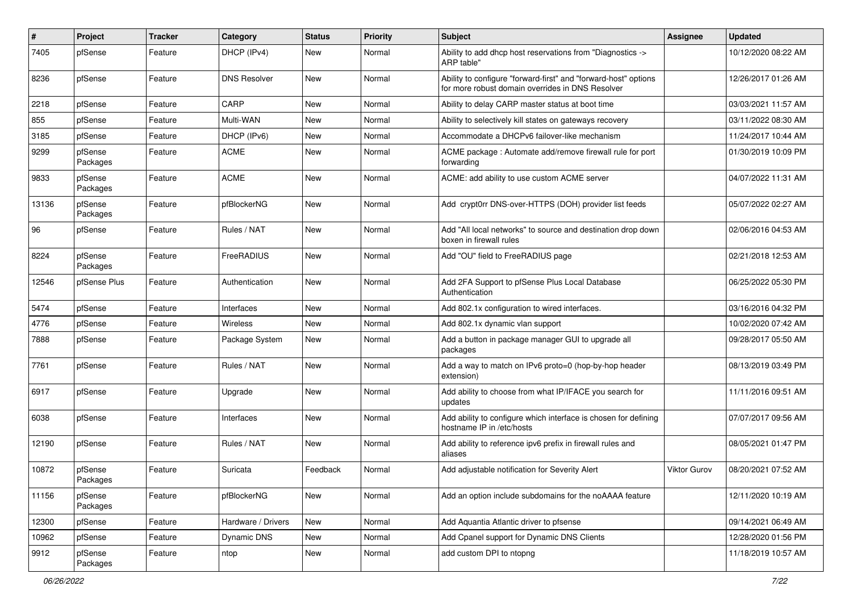| $\pmb{\#}$ | Project             | <b>Tracker</b> | Category            | <b>Status</b> | <b>Priority</b> | <b>Subject</b>                                                                                                      | <b>Assignee</b>     | <b>Updated</b>      |
|------------|---------------------|----------------|---------------------|---------------|-----------------|---------------------------------------------------------------------------------------------------------------------|---------------------|---------------------|
| 7405       | pfSense             | Feature        | DHCP (IPv4)         | New           | Normal          | Ability to add dhep host reservations from "Diagnostics -><br>ARP table"                                            |                     | 10/12/2020 08:22 AM |
| 8236       | pfSense             | Feature        | <b>DNS Resolver</b> | New           | Normal          | Ability to configure "forward-first" and "forward-host" options<br>for more robust domain overrides in DNS Resolver |                     | 12/26/2017 01:26 AM |
| 2218       | pfSense             | Feature        | CARP                | <b>New</b>    | Normal          | Ability to delay CARP master status at boot time                                                                    |                     | 03/03/2021 11:57 AM |
| 855        | pfSense             | Feature        | Multi-WAN           | New           | Normal          | Ability to selectively kill states on gateways recovery                                                             |                     | 03/11/2022 08:30 AM |
| 3185       | pfSense             | Feature        | DHCP (IPv6)         | New           | Normal          | Accommodate a DHCPv6 failover-like mechanism                                                                        |                     | 11/24/2017 10:44 AM |
| 9299       | pfSense<br>Packages | Feature        | <b>ACME</b>         | New           | Normal          | ACME package: Automate add/remove firewall rule for port<br>forwarding                                              |                     | 01/30/2019 10:09 PM |
| 9833       | pfSense<br>Packages | Feature        | <b>ACME</b>         | New           | Normal          | ACME: add ability to use custom ACME server                                                                         |                     | 04/07/2022 11:31 AM |
| 13136      | pfSense<br>Packages | Feature        | pfBlockerNG         | New           | Normal          | Add crypt0rr DNS-over-HTTPS (DOH) provider list feeds                                                               |                     | 05/07/2022 02:27 AM |
| 96         | pfSense             | Feature        | Rules / NAT         | New           | Normal          | Add "All local networks" to source and destination drop down<br>boxen in firewall rules                             |                     | 02/06/2016 04:53 AM |
| 8224       | pfSense<br>Packages | Feature        | FreeRADIUS          | New           | Normal          | Add "OU" field to FreeRADIUS page                                                                                   |                     | 02/21/2018 12:53 AM |
| 12546      | pfSense Plus        | Feature        | Authentication      | New           | Normal          | Add 2FA Support to pfSense Plus Local Database<br>Authentication                                                    |                     | 06/25/2022 05:30 PM |
| 5474       | pfSense             | Feature        | Interfaces          | New           | Normal          | Add 802.1x configuration to wired interfaces.                                                                       |                     | 03/16/2016 04:32 PM |
| 4776       | pfSense             | Feature        | Wireless            | <b>New</b>    | Normal          | Add 802.1x dynamic vlan support                                                                                     |                     | 10/02/2020 07:42 AM |
| 7888       | pfSense             | Feature        | Package System      | New           | Normal          | Add a button in package manager GUI to upgrade all<br>packages                                                      |                     | 09/28/2017 05:50 AM |
| 7761       | pfSense             | Feature        | Rules / NAT         | New           | Normal          | Add a way to match on IPv6 proto=0 (hop-by-hop header<br>extension)                                                 |                     | 08/13/2019 03:49 PM |
| 6917       | pfSense             | Feature        | Upgrade             | New           | Normal          | Add ability to choose from what IP/IFACE you search for<br>updates                                                  |                     | 11/11/2016 09:51 AM |
| 6038       | pfSense             | Feature        | Interfaces          | New           | Normal          | Add ability to configure which interface is chosen for defining<br>hostname IP in /etc/hosts                        |                     | 07/07/2017 09:56 AM |
| 12190      | pfSense             | Feature        | Rules / NAT         | <b>New</b>    | Normal          | Add ability to reference ipv6 prefix in firewall rules and<br>aliases                                               |                     | 08/05/2021 01:47 PM |
| 10872      | pfSense<br>Packages | Feature        | Suricata            | Feedback      | Normal          | Add adjustable notification for Severity Alert                                                                      | <b>Viktor Gurov</b> | 08/20/2021 07:52 AM |
| 11156      | pfSense<br>Packages | Feature        | pfBlockerNG         | New           | Normal          | Add an option include subdomains for the noAAAA feature                                                             |                     | 12/11/2020 10:19 AM |
| 12300      | pfSense             | Feature        | Hardware / Drivers  | New           | Normal          | Add Aquantia Atlantic driver to pfsense                                                                             |                     | 09/14/2021 06:49 AM |
| 10962      | pfSense             | Feature        | Dynamic DNS         | New           | Normal          | Add Cpanel support for Dynamic DNS Clients                                                                          |                     | 12/28/2020 01:56 PM |
| 9912       | pfSense<br>Packages | Feature        | ntop                | New           | Normal          | add custom DPI to ntopng                                                                                            |                     | 11/18/2019 10:57 AM |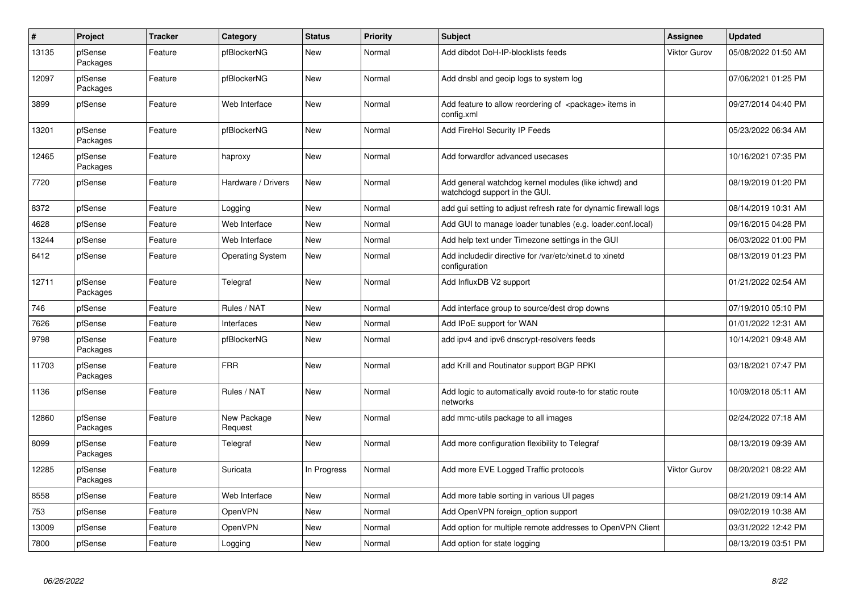| $\pmb{\#}$ | Project             | <b>Tracker</b> | Category                | <b>Status</b> | <b>Priority</b> | <b>Subject</b>                                                                        | Assignee     | <b>Updated</b>      |
|------------|---------------------|----------------|-------------------------|---------------|-----------------|---------------------------------------------------------------------------------------|--------------|---------------------|
| 13135      | pfSense<br>Packages | Feature        | pfBlockerNG             | New           | Normal          | Add dibdot DoH-IP-blocklists feeds                                                    | Viktor Gurov | 05/08/2022 01:50 AM |
| 12097      | pfSense<br>Packages | Feature        | pfBlockerNG             | <b>New</b>    | Normal          | Add dnsbl and geoip logs to system log                                                |              | 07/06/2021 01:25 PM |
| 3899       | pfSense             | Feature        | Web Interface           | <b>New</b>    | Normal          | Add feature to allow reordering of <package> items in<br/>config.xml</package>        |              | 09/27/2014 04:40 PM |
| 13201      | pfSense<br>Packages | Feature        | pfBlockerNG             | <b>New</b>    | Normal          | Add FireHol Security IP Feeds                                                         |              | 05/23/2022 06:34 AM |
| 12465      | pfSense<br>Packages | Feature        | haproxy                 | <b>New</b>    | Normal          | Add forwardfor advanced usecases                                                      |              | 10/16/2021 07:35 PM |
| 7720       | pfSense             | Feature        | Hardware / Drivers      | New           | Normal          | Add general watchdog kernel modules (like ichwd) and<br>watchdogd support in the GUI. |              | 08/19/2019 01:20 PM |
| 8372       | pfSense             | Feature        | Logging                 | New           | Normal          | add gui setting to adjust refresh rate for dynamic firewall logs                      |              | 08/14/2019 10:31 AM |
| 4628       | pfSense             | Feature        | Web Interface           | New           | Normal          | Add GUI to manage loader tunables (e.g. loader.conf.local)                            |              | 09/16/2015 04:28 PM |
| 13244      | pfSense             | Feature        | Web Interface           | <b>New</b>    | Normal          | Add help text under Timezone settings in the GUI                                      |              | 06/03/2022 01:00 PM |
| 6412       | pfSense             | Feature        | <b>Operating System</b> | New           | Normal          | Add includedir directive for /var/etc/xinet.d to xinetd<br>configuration              |              | 08/13/2019 01:23 PM |
| 12711      | pfSense<br>Packages | Feature        | Telegraf                | <b>New</b>    | Normal          | Add InfluxDB V2 support                                                               |              | 01/21/2022 02:54 AM |
| 746        | pfSense             | Feature        | Rules / NAT             | New           | Normal          | Add interface group to source/dest drop downs                                         |              | 07/19/2010 05:10 PM |
| 7626       | pfSense             | Feature        | Interfaces              | New           | Normal          | Add IPoE support for WAN                                                              |              | 01/01/2022 12:31 AM |
| 9798       | pfSense<br>Packages | Feature        | pfBlockerNG             | <b>New</b>    | Normal          | add ipv4 and ipv6 dnscrypt-resolvers feeds                                            |              | 10/14/2021 09:48 AM |
| 11703      | pfSense<br>Packages | Feature        | <b>FRR</b>              | New           | Normal          | add Krill and Routinator support BGP RPKI                                             |              | 03/18/2021 07:47 PM |
| 1136       | pfSense             | Feature        | Rules / NAT             | New           | Normal          | Add logic to automatically avoid route-to for static route<br>networks                |              | 10/09/2018 05:11 AM |
| 12860      | pfSense<br>Packages | Feature        | New Package<br>Request  | New           | Normal          | add mmc-utils package to all images                                                   |              | 02/24/2022 07:18 AM |
| 8099       | pfSense<br>Packages | Feature        | Telegraf                | New           | Normal          | Add more configuration flexibility to Telegraf                                        |              | 08/13/2019 09:39 AM |
| 12285      | pfSense<br>Packages | Feature        | Suricata                | In Progress   | Normal          | Add more EVE Logged Traffic protocols                                                 | Viktor Gurov | 08/20/2021 08:22 AM |
| 8558       | pfSense             | Feature        | Web Interface           | <b>New</b>    | Normal          | Add more table sorting in various UI pages                                            |              | 08/21/2019 09:14 AM |
| 753        | pfSense             | Feature        | OpenVPN                 | New           | Normal          | Add OpenVPN foreign option support                                                    |              | 09/02/2019 10:38 AM |
| 13009      | pfSense             | Feature        | OpenVPN                 | <b>New</b>    | Normal          | Add option for multiple remote addresses to OpenVPN Client                            |              | 03/31/2022 12:42 PM |
| 7800       | pfSense             | Feature        | Logging                 | <b>New</b>    | Normal          | Add option for state logging                                                          |              | 08/13/2019 03:51 PM |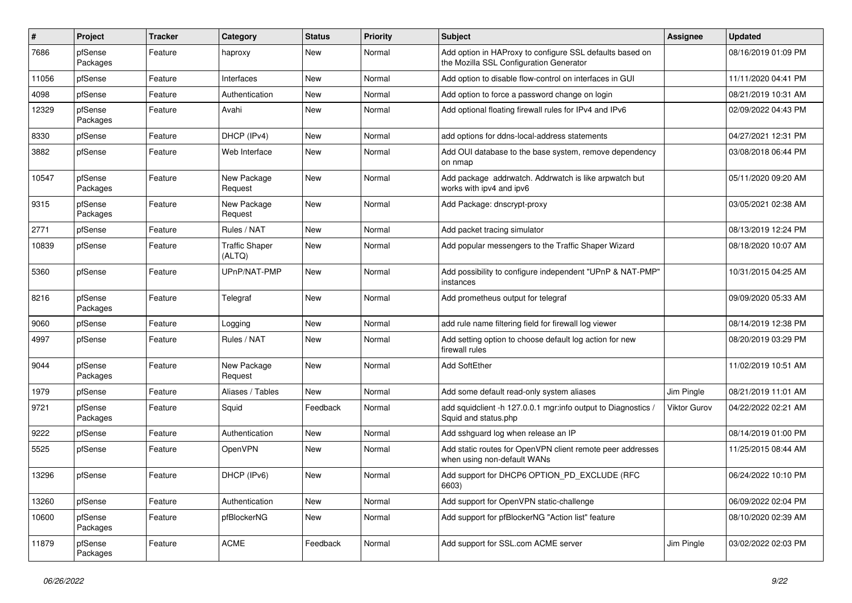| $\pmb{\#}$ | Project             | <b>Tracker</b> | Category                        | <b>Status</b> | <b>Priority</b> | <b>Subject</b>                                                                                      | <b>Assignee</b>     | <b>Updated</b>      |
|------------|---------------------|----------------|---------------------------------|---------------|-----------------|-----------------------------------------------------------------------------------------------------|---------------------|---------------------|
| 7686       | pfSense<br>Packages | Feature        | haproxy                         | New           | Normal          | Add option in HAProxy to configure SSL defaults based on<br>the Mozilla SSL Configuration Generator |                     | 08/16/2019 01:09 PM |
| 11056      | pfSense             | Feature        | Interfaces                      | <b>New</b>    | Normal          | Add option to disable flow-control on interfaces in GUI                                             |                     | 11/11/2020 04:41 PM |
| 4098       | pfSense             | Feature        | Authentication                  | New           | Normal          | Add option to force a password change on login                                                      |                     | 08/21/2019 10:31 AM |
| 12329      | pfSense<br>Packages | Feature        | Avahi                           | <b>New</b>    | Normal          | Add optional floating firewall rules for IPv4 and IPv6                                              |                     | 02/09/2022 04:43 PM |
| 8330       | pfSense             | Feature        | DHCP (IPv4)                     | New           | Normal          | add options for ddns-local-address statements                                                       |                     | 04/27/2021 12:31 PM |
| 3882       | pfSense             | Feature        | Web Interface                   | <b>New</b>    | Normal          | Add OUI database to the base system, remove dependency<br>on nmap                                   |                     | 03/08/2018 06:44 PM |
| 10547      | pfSense<br>Packages | Feature        | New Package<br>Request          | <b>New</b>    | Normal          | Add package addrwatch. Addrwatch is like arpwatch but<br>works with ipv4 and ipv6                   |                     | 05/11/2020 09:20 AM |
| 9315       | pfSense<br>Packages | Feature        | New Package<br>Request          | <b>New</b>    | Normal          | Add Package: dnscrypt-proxy                                                                         |                     | 03/05/2021 02:38 AM |
| 2771       | pfSense             | Feature        | Rules / NAT                     | <b>New</b>    | Normal          | Add packet tracing simulator                                                                        |                     | 08/13/2019 12:24 PM |
| 10839      | pfSense             | Feature        | <b>Traffic Shaper</b><br>(ALTQ) | New           | Normal          | Add popular messengers to the Traffic Shaper Wizard                                                 |                     | 08/18/2020 10:07 AM |
| 5360       | pfSense             | Feature        | UPnP/NAT-PMP                    | New           | Normal          | Add possibility to configure independent "UPnP & NAT-PMP"<br>instances                              |                     | 10/31/2015 04:25 AM |
| 8216       | pfSense<br>Packages | Feature        | Telegraf                        | <b>New</b>    | Normal          | Add prometheus output for telegraf                                                                  |                     | 09/09/2020 05:33 AM |
| 9060       | pfSense             | Feature        | Logging                         | <b>New</b>    | Normal          | add rule name filtering field for firewall log viewer                                               |                     | 08/14/2019 12:38 PM |
| 4997       | pfSense             | Feature        | Rules / NAT                     | New           | Normal          | Add setting option to choose default log action for new<br>firewall rules                           |                     | 08/20/2019 03:29 PM |
| 9044       | pfSense<br>Packages | Feature        | New Package<br>Request          | <b>New</b>    | Normal          | <b>Add SoftEther</b>                                                                                |                     | 11/02/2019 10:51 AM |
| 1979       | pfSense             | Feature        | Aliases / Tables                | New           | Normal          | Add some default read-only system aliases                                                           | Jim Pingle          | 08/21/2019 11:01 AM |
| 9721       | pfSense<br>Packages | Feature        | Squid                           | Feedback      | Normal          | add squidclient -h 127.0.0.1 mgr:info output to Diagnostics /<br>Squid and status.php               | <b>Viktor Gurov</b> | 04/22/2022 02:21 AM |
| 9222       | pfSense             | Feature        | Authentication                  | <b>New</b>    | Normal          | Add sshguard log when release an IP                                                                 |                     | 08/14/2019 01:00 PM |
| 5525       | pfSense             | Feature        | OpenVPN                         | New           | Normal          | Add static routes for OpenVPN client remote peer addresses<br>when using non-default WANs           |                     | 11/25/2015 08:44 AM |
| 13296      | pfSense             | Feature        | DHCP (IPv6)                     | New           | Normal          | Add support for DHCP6 OPTION PD EXCLUDE (RFC<br>6603)                                               |                     | 06/24/2022 10:10 PM |
| 13260      | pfSense             | Feature        | Authentication                  | New           | Normal          | Add support for OpenVPN static-challenge                                                            |                     | 06/09/2022 02:04 PM |
| 10600      | pfSense<br>Packages | Feature        | pfBlockerNG                     | New           | Normal          | Add support for pfBlockerNG "Action list" feature                                                   |                     | 08/10/2020 02:39 AM |
| 11879      | pfSense<br>Packages | Feature        | <b>ACME</b>                     | Feedback      | Normal          | Add support for SSL.com ACME server                                                                 | Jim Pingle          | 03/02/2022 02:03 PM |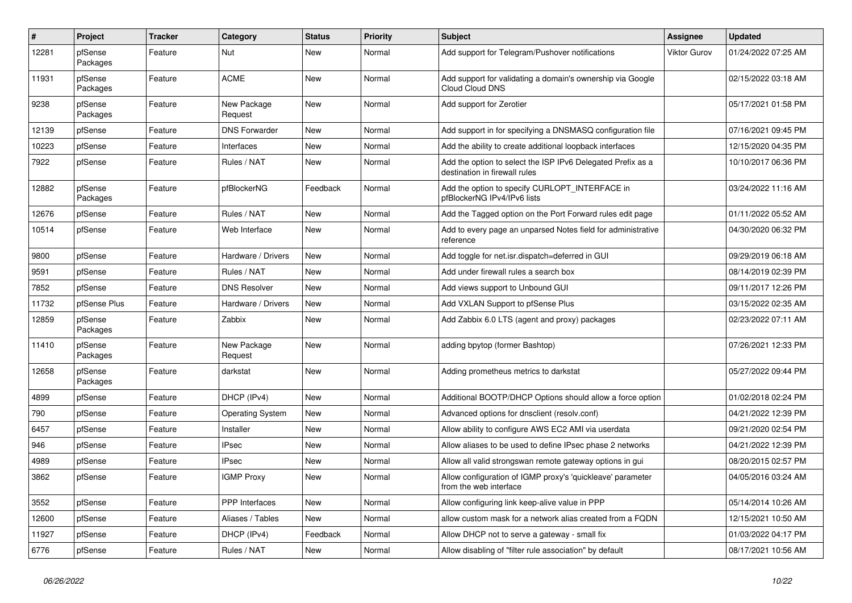| $\vert$ # | Project             | <b>Tracker</b> | Category                | <b>Status</b> | Priority | <b>Subject</b>                                                                               | <b>Assignee</b>     | <b>Updated</b>      |
|-----------|---------------------|----------------|-------------------------|---------------|----------|----------------------------------------------------------------------------------------------|---------------------|---------------------|
| 12281     | pfSense<br>Packages | Feature        | Nut                     | New           | Normal   | Add support for Telegram/Pushover notifications                                              | <b>Viktor Gurov</b> | 01/24/2022 07:25 AM |
| 11931     | pfSense<br>Packages | Feature        | <b>ACME</b>             | <b>New</b>    | Normal   | Add support for validating a domain's ownership via Google<br><b>Cloud Cloud DNS</b>         |                     | 02/15/2022 03:18 AM |
| 9238      | pfSense<br>Packages | Feature        | New Package<br>Request  | <b>New</b>    | Normal   | Add support for Zerotier                                                                     |                     | 05/17/2021 01:58 PM |
| 12139     | pfSense             | Feature        | <b>DNS Forwarder</b>    | <b>New</b>    | Normal   | Add support in for specifying a DNSMASQ configuration file                                   |                     | 07/16/2021 09:45 PM |
| 10223     | pfSense             | Feature        | Interfaces              | <b>New</b>    | Normal   | Add the ability to create additional loopback interfaces                                     |                     | 12/15/2020 04:35 PM |
| 7922      | pfSense             | Feature        | Rules / NAT             | New           | Normal   | Add the option to select the ISP IPv6 Delegated Prefix as a<br>destination in firewall rules |                     | 10/10/2017 06:36 PM |
| 12882     | pfSense<br>Packages | Feature        | pfBlockerNG             | Feedback      | Normal   | Add the option to specify CURLOPT INTERFACE in<br>pfBlockerNG IPv4/IPv6 lists                |                     | 03/24/2022 11:16 AM |
| 12676     | pfSense             | Feature        | Rules / NAT             | <b>New</b>    | Normal   | Add the Tagged option on the Port Forward rules edit page                                    |                     | 01/11/2022 05:52 AM |
| 10514     | pfSense             | Feature        | Web Interface           | <b>New</b>    | Normal   | Add to every page an unparsed Notes field for administrative<br>reference                    |                     | 04/30/2020 06:32 PM |
| 9800      | pfSense             | Feature        | Hardware / Drivers      | New           | Normal   | Add toggle for net.isr.dispatch=deferred in GUI                                              |                     | 09/29/2019 06:18 AM |
| 9591      | pfSense             | Feature        | Rules / NAT             | New           | Normal   | Add under firewall rules a search box                                                        |                     | 08/14/2019 02:39 PM |
| 7852      | pfSense             | Feature        | <b>DNS Resolver</b>     | New           | Normal   | Add views support to Unbound GUI                                                             |                     | 09/11/2017 12:26 PM |
| 11732     | pfSense Plus        | Feature        | Hardware / Drivers      | New           | Normal   | Add VXLAN Support to pfSense Plus                                                            |                     | 03/15/2022 02:35 AM |
| 12859     | pfSense<br>Packages | Feature        | Zabbix                  | New           | Normal   | Add Zabbix 6.0 LTS (agent and proxy) packages                                                |                     | 02/23/2022 07:11 AM |
| 11410     | pfSense<br>Packages | Feature        | New Package<br>Request  | <b>New</b>    | Normal   | adding bpytop (former Bashtop)                                                               |                     | 07/26/2021 12:33 PM |
| 12658     | pfSense<br>Packages | Feature        | darkstat                | New           | Normal   | Adding prometheus metrics to darkstat                                                        |                     | 05/27/2022 09:44 PM |
| 4899      | pfSense             | Feature        | DHCP (IPv4)             | New           | Normal   | Additional BOOTP/DHCP Options should allow a force option                                    |                     | 01/02/2018 02:24 PM |
| 790       | pfSense             | Feature        | <b>Operating System</b> | New           | Normal   | Advanced options for dnsclient (resolv.conf)                                                 |                     | 04/21/2022 12:39 PM |
| 6457      | pfSense             | Feature        | Installer               | <b>New</b>    | Normal   | Allow ability to configure AWS EC2 AMI via userdata                                          |                     | 09/21/2020 02:54 PM |
| 946       | pfSense             | Feature        | <b>IPsec</b>            | New           | Normal   | Allow aliases to be used to define IPsec phase 2 networks                                    |                     | 04/21/2022 12:39 PM |
| 4989      | pfSense             | Feature        | IPsec                   | New           | Normal   | Allow all valid strongswan remote gateway options in gui                                     |                     | 08/20/2015 02:57 PM |
| 3862      | pfSense             | Feature        | <b>IGMP Proxy</b>       | New           | Normal   | Allow configuration of IGMP proxy's 'quickleave' parameter<br>from the web interface         |                     | 04/05/2016 03:24 AM |
| 3552      | pfSense             | Feature        | PPP Interfaces          | <b>New</b>    | Normal   | Allow configuring link keep-alive value in PPP                                               |                     | 05/14/2014 10:26 AM |
| 12600     | pfSense             | Feature        | Aliases / Tables        | New           | Normal   | allow custom mask for a network alias created from a FQDN                                    |                     | 12/15/2021 10:50 AM |
| 11927     | pfSense             | Feature        | DHCP (IPv4)             | Feedback      | Normal   | Allow DHCP not to serve a gateway - small fix                                                |                     | 01/03/2022 04:17 PM |
| 6776      | pfSense             | Feature        | Rules / NAT             | New           | Normal   | Allow disabling of "filter rule association" by default                                      |                     | 08/17/2021 10:56 AM |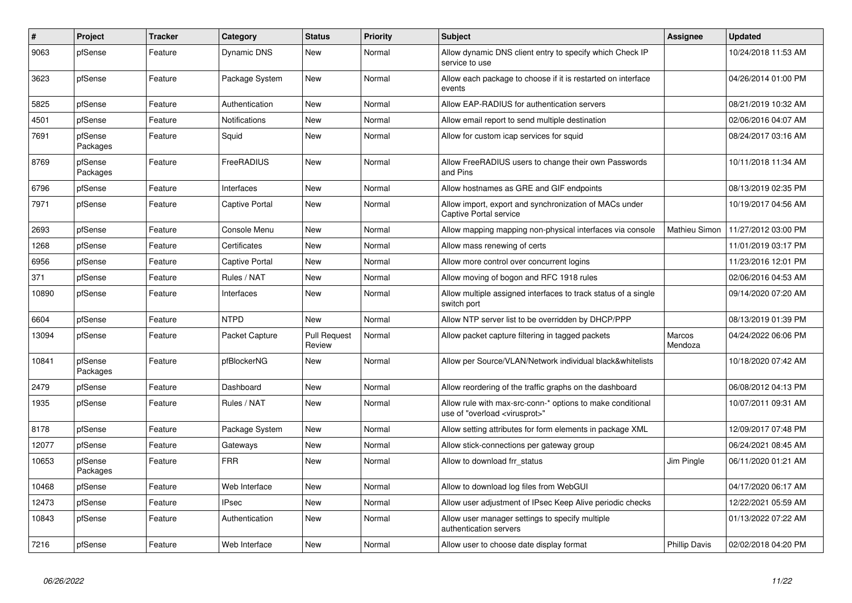| $\pmb{\sharp}$ | Project             | <b>Tracker</b> | Category              | <b>Status</b>                 | <b>Priority</b> | <b>Subject</b>                                                                                          | Assignee             | <b>Updated</b>      |
|----------------|---------------------|----------------|-----------------------|-------------------------------|-----------------|---------------------------------------------------------------------------------------------------------|----------------------|---------------------|
| 9063           | pfSense             | Feature        | Dynamic DNS           | New                           | Normal          | Allow dynamic DNS client entry to specify which Check IP<br>service to use                              |                      | 10/24/2018 11:53 AM |
| 3623           | pfSense             | Feature        | Package System        | New                           | Normal          | Allow each package to choose if it is restarted on interface<br>events                                  |                      | 04/26/2014 01:00 PM |
| 5825           | pfSense             | Feature        | Authentication        | New                           | Normal          | Allow EAP-RADIUS for authentication servers                                                             |                      | 08/21/2019 10:32 AM |
| 4501           | pfSense             | Feature        | <b>Notifications</b>  | New                           | Normal          | Allow email report to send multiple destination                                                         |                      | 02/06/2016 04:07 AM |
| 7691           | pfSense<br>Packages | Feature        | Squid                 | New                           | Normal          | Allow for custom icap services for squid                                                                |                      | 08/24/2017 03:16 AM |
| 8769           | pfSense<br>Packages | Feature        | FreeRADIUS            | New                           | Normal          | Allow FreeRADIUS users to change their own Passwords<br>and Pins                                        |                      | 10/11/2018 11:34 AM |
| 6796           | pfSense             | Feature        | Interfaces            | <b>New</b>                    | Normal          | Allow hostnames as GRE and GIF endpoints                                                                |                      | 08/13/2019 02:35 PM |
| 7971           | pfSense             | Feature        | <b>Captive Portal</b> | New                           | Normal          | Allow import, export and synchronization of MACs under<br><b>Captive Portal service</b>                 |                      | 10/19/2017 04:56 AM |
| 2693           | pfSense             | Feature        | Console Menu          | <b>New</b>                    | Normal          | Allow mapping mapping non-physical interfaces via console                                               | Mathieu Simon        | 11/27/2012 03:00 PM |
| 1268           | pfSense             | Feature        | Certificates          | New                           | Normal          | Allow mass renewing of certs                                                                            |                      | 11/01/2019 03:17 PM |
| 6956           | pfSense             | Feature        | <b>Captive Portal</b> | New                           | Normal          | Allow more control over concurrent logins                                                               |                      | 11/23/2016 12:01 PM |
| 371            | pfSense             | Feature        | Rules / NAT           | New                           | Normal          | Allow moving of bogon and RFC 1918 rules                                                                |                      | 02/06/2016 04:53 AM |
| 10890          | pfSense             | Feature        | Interfaces            | New                           | Normal          | Allow multiple assigned interfaces to track status of a single<br>switch port                           |                      | 09/14/2020 07:20 AM |
| 6604           | pfSense             | Feature        | <b>NTPD</b>           | <b>New</b>                    | Normal          | Allow NTP server list to be overridden by DHCP/PPP                                                      |                      | 08/13/2019 01:39 PM |
| 13094          | pfSense             | Feature        | Packet Capture        | <b>Pull Request</b><br>Review | Normal          | Allow packet capture filtering in tagged packets                                                        | Marcos<br>Mendoza    | 04/24/2022 06:06 PM |
| 10841          | pfSense<br>Packages | Feature        | pfBlockerNG           | New                           | Normal          | Allow per Source/VLAN/Network individual black&whitelists                                               |                      | 10/18/2020 07:42 AM |
| 2479           | pfSense             | Feature        | Dashboard             | <b>New</b>                    | Normal          | Allow reordering of the traffic graphs on the dashboard                                                 |                      | 06/08/2012 04:13 PM |
| 1935           | pfSense             | Feature        | Rules / NAT           | New                           | Normal          | Allow rule with max-src-conn-* options to make conditional<br>use of "overload <virusprot>"</virusprot> |                      | 10/07/2011 09:31 AM |
| 8178           | pfSense             | Feature        | Package System        | New                           | Normal          | Allow setting attributes for form elements in package XML                                               |                      | 12/09/2017 07:48 PM |
| 12077          | pfSense             | Feature        | Gateways              | <b>New</b>                    | Normal          | Allow stick-connections per gateway group                                                               |                      | 06/24/2021 08:45 AM |
| 10653          | pfSense<br>Packages | Feature        | <b>FRR</b>            | New                           | Normal          | Allow to download frr status                                                                            | Jim Pingle           | 06/11/2020 01:21 AM |
| 10468          | pfSense             | Feature        | Web Interface         | <b>New</b>                    | Normal          | Allow to download log files from WebGUI                                                                 |                      | 04/17/2020 06:17 AM |
| 12473          | pfSense             | Feature        | <b>IPsec</b>          | <b>New</b>                    | Normal          | Allow user adjustment of IPsec Keep Alive periodic checks                                               |                      | 12/22/2021 05:59 AM |
| 10843          | pfSense             | Feature        | Authentication        | New                           | Normal          | Allow user manager settings to specify multiple<br>authentication servers                               |                      | 01/13/2022 07:22 AM |
| 7216           | pfSense             | Feature        | Web Interface         | New                           | Normal          | Allow user to choose date display format                                                                | <b>Phillip Davis</b> | 02/02/2018 04:20 PM |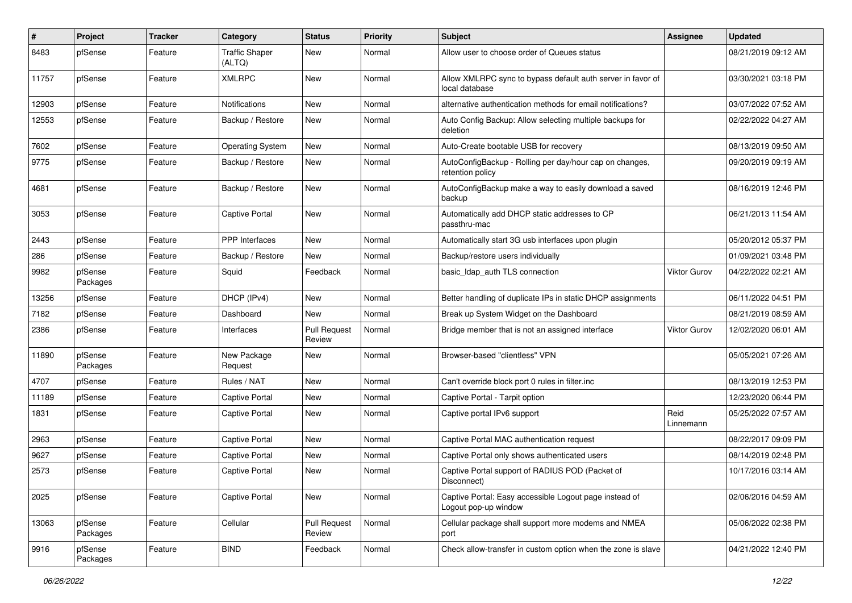| #     | Project             | <b>Tracker</b> | Category                        | <b>Status</b>                 | <b>Priority</b> | <b>Subject</b>                                                                 | <b>Assignee</b>     | <b>Updated</b>      |
|-------|---------------------|----------------|---------------------------------|-------------------------------|-----------------|--------------------------------------------------------------------------------|---------------------|---------------------|
| 8483  | pfSense             | Feature        | <b>Traffic Shaper</b><br>(ALTQ) | New                           | Normal          | Allow user to choose order of Queues status                                    |                     | 08/21/2019 09:12 AM |
| 11757 | pfSense             | Feature        | <b>XMLRPC</b>                   | New                           | Normal          | Allow XMLRPC sync to bypass default auth server in favor of<br>local database  |                     | 03/30/2021 03:18 PM |
| 12903 | pfSense             | Feature        | Notifications                   | New                           | Normal          | alternative authentication methods for email notifications?                    |                     | 03/07/2022 07:52 AM |
| 12553 | pfSense             | Feature        | Backup / Restore                | New                           | Normal          | Auto Config Backup: Allow selecting multiple backups for<br>deletion           |                     | 02/22/2022 04:27 AM |
| 7602  | pfSense             | Feature        | <b>Operating System</b>         | New                           | Normal          | Auto-Create bootable USB for recovery                                          |                     | 08/13/2019 09:50 AM |
| 9775  | pfSense             | Feature        | Backup / Restore                | New                           | Normal          | AutoConfigBackup - Rolling per day/hour cap on changes,<br>retention policy    |                     | 09/20/2019 09:19 AM |
| 4681  | pfSense             | Feature        | Backup / Restore                | <b>New</b>                    | Normal          | AutoConfigBackup make a way to easily download a saved<br>backup               |                     | 08/16/2019 12:46 PM |
| 3053  | pfSense             | Feature        | Captive Portal                  | <b>New</b>                    | Normal          | Automatically add DHCP static addresses to CP<br>passthru-mac                  |                     | 06/21/2013 11:54 AM |
| 2443  | pfSense             | Feature        | <b>PPP</b> Interfaces           | New                           | Normal          | Automatically start 3G usb interfaces upon plugin                              |                     | 05/20/2012 05:37 PM |
| 286   | pfSense             | Feature        | Backup / Restore                | New                           | Normal          | Backup/restore users individually                                              |                     | 01/09/2021 03:48 PM |
| 9982  | pfSense<br>Packages | Feature        | Squid                           | Feedback                      | Normal          | basic_Idap_auth TLS connection                                                 | <b>Viktor Gurov</b> | 04/22/2022 02:21 AM |
| 13256 | pfSense             | Feature        | DHCP (IPv4)                     | New                           | Normal          | Better handling of duplicate IPs in static DHCP assignments                    |                     | 06/11/2022 04:51 PM |
| 7182  | pfSense             | Feature        | Dashboard                       | New                           | Normal          | Break up System Widget on the Dashboard                                        |                     | 08/21/2019 08:59 AM |
| 2386  | pfSense             | Feature        | Interfaces                      | <b>Pull Request</b><br>Review | Normal          | Bridge member that is not an assigned interface                                | <b>Viktor Gurov</b> | 12/02/2020 06:01 AM |
| 11890 | pfSense<br>Packages | Feature        | New Package<br>Request          | New                           | Normal          | Browser-based "clientless" VPN                                                 |                     | 05/05/2021 07:26 AM |
| 4707  | pfSense             | Feature        | Rules / NAT                     | New                           | Normal          | Can't override block port 0 rules in filter.inc                                |                     | 08/13/2019 12:53 PM |
| 11189 | pfSense             | Feature        | <b>Captive Portal</b>           | New                           | Normal          | Captive Portal - Tarpit option                                                 |                     | 12/23/2020 06:44 PM |
| 1831  | pfSense             | Feature        | <b>Captive Portal</b>           | New                           | Normal          | Captive portal IPv6 support                                                    | Reid<br>Linnemann   | 05/25/2022 07:57 AM |
| 2963  | pfSense             | Feature        | <b>Captive Portal</b>           | New                           | Normal          | Captive Portal MAC authentication request                                      |                     | 08/22/2017 09:09 PM |
| 9627  | pfSense             | Feature        | <b>Captive Portal</b>           | New                           | Normal          | Captive Portal only shows authenticated users                                  |                     | 08/14/2019 02:48 PM |
| 2573  | pfSense             | Feature        | <b>Captive Portal</b>           | New                           | Normal          | Captive Portal support of RADIUS POD (Packet of<br>Disconnect)                 |                     | 10/17/2016 03:14 AM |
| 2025  | pfSense             | Feature        | <b>Captive Portal</b>           | New                           | Normal          | Captive Portal: Easy accessible Logout page instead of<br>Logout pop-up window |                     | 02/06/2016 04:59 AM |
| 13063 | pfSense<br>Packages | Feature        | Cellular                        | <b>Pull Request</b><br>Review | Normal          | Cellular package shall support more modems and NMEA<br>port                    |                     | 05/06/2022 02:38 PM |
| 9916  | pfSense<br>Packages | Feature        | <b>BIND</b>                     | Feedback                      | Normal          | Check allow-transfer in custom option when the zone is slave                   |                     | 04/21/2022 12:40 PM |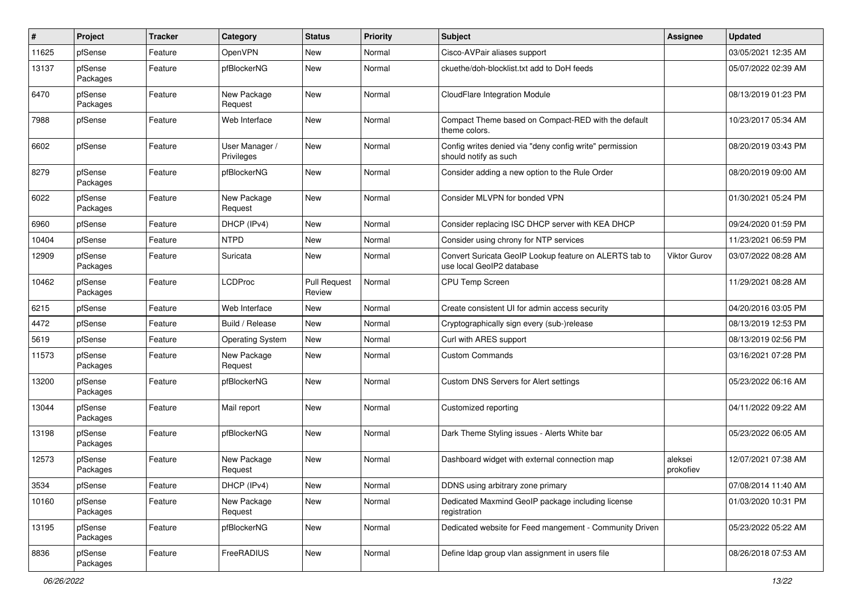| #     | Project             | Tracker | Category                     | <b>Status</b>                 | <b>Priority</b> | <b>Subject</b>                                                                      | Assignee             | <b>Updated</b>      |
|-------|---------------------|---------|------------------------------|-------------------------------|-----------------|-------------------------------------------------------------------------------------|----------------------|---------------------|
| 11625 | pfSense             | Feature | OpenVPN                      | <b>New</b>                    | Normal          | Cisco-AVPair aliases support                                                        |                      | 03/05/2021 12:35 AM |
| 13137 | pfSense<br>Packages | Feature | pfBlockerNG                  | New                           | Normal          | ckuethe/doh-blocklist.txt add to DoH feeds                                          |                      | 05/07/2022 02:39 AM |
| 6470  | pfSense<br>Packages | Feature | New Package<br>Request       | New                           | Normal          | <b>CloudFlare Integration Module</b>                                                |                      | 08/13/2019 01:23 PM |
| 7988  | pfSense             | Feature | Web Interface                | New                           | Normal          | Compact Theme based on Compact-RED with the default<br>theme colors.                |                      | 10/23/2017 05:34 AM |
| 6602  | pfSense             | Feature | User Manager /<br>Privileges | <b>New</b>                    | Normal          | Config writes denied via "deny config write" permission<br>should notify as such    |                      | 08/20/2019 03:43 PM |
| 8279  | pfSense<br>Packages | Feature | pfBlockerNG                  | New                           | Normal          | Consider adding a new option to the Rule Order                                      |                      | 08/20/2019 09:00 AM |
| 6022  | pfSense<br>Packages | Feature | New Package<br>Request       | New                           | Normal          | Consider MLVPN for bonded VPN                                                       |                      | 01/30/2021 05:24 PM |
| 6960  | pfSense             | Feature | DHCP (IPv4)                  | New                           | Normal          | Consider replacing ISC DHCP server with KEA DHCP                                    |                      | 09/24/2020 01:59 PM |
| 10404 | pfSense             | Feature | <b>NTPD</b>                  | New                           | Normal          | Consider using chrony for NTP services                                              |                      | 11/23/2021 06:59 PM |
| 12909 | pfSense<br>Packages | Feature | Suricata                     | New                           | Normal          | Convert Suricata GeoIP Lookup feature on ALERTS tab to<br>use local GeoIP2 database | <b>Viktor Gurov</b>  | 03/07/2022 08:28 AM |
| 10462 | pfSense<br>Packages | Feature | <b>LCDProc</b>               | <b>Pull Request</b><br>Review | Normal          | <b>CPU Temp Screen</b>                                                              |                      | 11/29/2021 08:28 AM |
| 6215  | pfSense             | Feature | Web Interface                | New                           | Normal          | Create consistent UI for admin access security                                      |                      | 04/20/2016 03:05 PM |
| 4472  | pfSense             | Feature | Build / Release              | New                           | Normal          | Cryptographically sign every (sub-)release                                          |                      | 08/13/2019 12:53 PM |
| 5619  | pfSense             | Feature | <b>Operating System</b>      | New                           | Normal          | Curl with ARES support                                                              |                      | 08/13/2019 02:56 PM |
| 11573 | pfSense<br>Packages | Feature | New Package<br>Request       | New                           | Normal          | <b>Custom Commands</b>                                                              |                      | 03/16/2021 07:28 PM |
| 13200 | pfSense<br>Packages | Feature | pfBlockerNG                  | <b>New</b>                    | Normal          | Custom DNS Servers for Alert settings                                               |                      | 05/23/2022 06:16 AM |
| 13044 | pfSense<br>Packages | Feature | Mail report                  | <b>New</b>                    | Normal          | Customized reporting                                                                |                      | 04/11/2022 09:22 AM |
| 13198 | pfSense<br>Packages | Feature | pfBlockerNG                  | <b>New</b>                    | Normal          | Dark Theme Styling issues - Alerts White bar                                        |                      | 05/23/2022 06:05 AM |
| 12573 | pfSense<br>Packages | Feature | New Package<br>Request       | <b>New</b>                    | Normal          | Dashboard widget with external connection map                                       | aleksei<br>prokofiev | 12/07/2021 07:38 AM |
| 3534  | pfSense             | Feature | DHCP (IPv4)                  | New                           | Normal          | DDNS using arbitrary zone primary                                                   |                      | 07/08/2014 11:40 AM |
| 10160 | pfSense<br>Packages | Feature | New Package<br>Request       | New                           | Normal          | Dedicated Maxmind GeoIP package including license<br>registration                   |                      | 01/03/2020 10:31 PM |
| 13195 | pfSense<br>Packages | Feature | pfBlockerNG                  | New                           | Normal          | Dedicated website for Feed mangement - Community Driven                             |                      | 05/23/2022 05:22 AM |
| 8836  | pfSense<br>Packages | Feature | FreeRADIUS                   | New                           | Normal          | Define Idap group vlan assignment in users file                                     |                      | 08/26/2018 07:53 AM |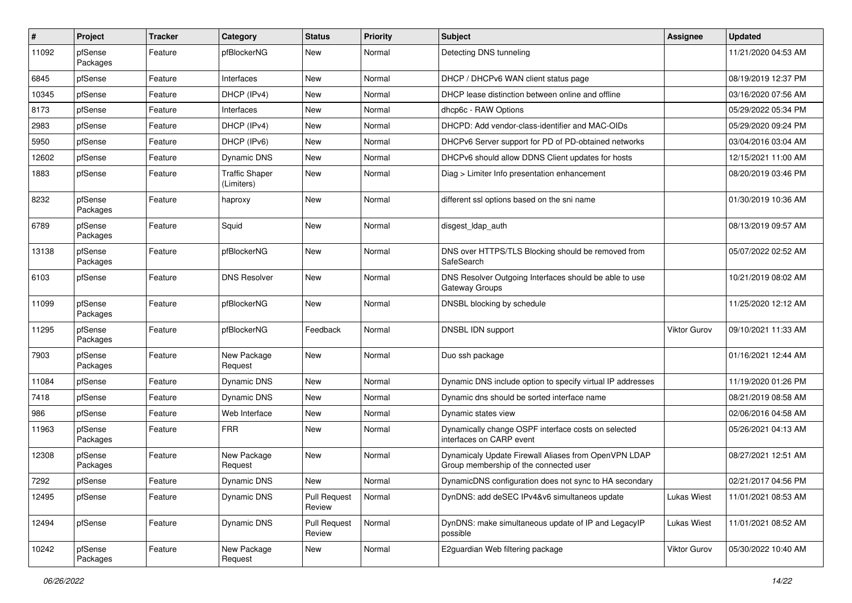| $\sharp$ | Project             | <b>Tracker</b> | Category                            | <b>Status</b>                 | <b>Priority</b> | <b>Subject</b>                                                                                 | <b>Assignee</b>     | <b>Updated</b>      |
|----------|---------------------|----------------|-------------------------------------|-------------------------------|-----------------|------------------------------------------------------------------------------------------------|---------------------|---------------------|
| 11092    | pfSense<br>Packages | Feature        | pfBlockerNG                         | New                           | Normal          | Detecting DNS tunneling                                                                        |                     | 11/21/2020 04:53 AM |
| 6845     | pfSense             | Feature        | Interfaces                          | New                           | Normal          | DHCP / DHCPv6 WAN client status page                                                           |                     | 08/19/2019 12:37 PM |
| 10345    | pfSense             | Feature        | DHCP (IPv4)                         | New                           | Normal          | DHCP lease distinction between online and offline                                              |                     | 03/16/2020 07:56 AM |
| 8173     | pfSense             | Feature        | Interfaces                          | New                           | Normal          | dhcp6c - RAW Options                                                                           |                     | 05/29/2022 05:34 PM |
| 2983     | pfSense             | Feature        | DHCP (IPv4)                         | New                           | Normal          | DHCPD: Add vendor-class-identifier and MAC-OIDs                                                |                     | 05/29/2020 09:24 PM |
| 5950     | pfSense             | Feature        | DHCP (IPv6)                         | New                           | Normal          | DHCPv6 Server support for PD of PD-obtained networks                                           |                     | 03/04/2016 03:04 AM |
| 12602    | pfSense             | Feature        | Dynamic DNS                         | New                           | Normal          | DHCPv6 should allow DDNS Client updates for hosts                                              |                     | 12/15/2021 11:00 AM |
| 1883     | pfSense             | Feature        | <b>Traffic Shaper</b><br>(Limiters) | New                           | Normal          | Diag > Limiter Info presentation enhancement                                                   |                     | 08/20/2019 03:46 PM |
| 8232     | pfSense<br>Packages | Feature        | haproxy                             | <b>New</b>                    | Normal          | different ssl options based on the sni name                                                    |                     | 01/30/2019 10:36 AM |
| 6789     | pfSense<br>Packages | Feature        | Squid                               | <b>New</b>                    | Normal          | disgest_ldap_auth                                                                              |                     | 08/13/2019 09:57 AM |
| 13138    | pfSense<br>Packages | Feature        | pfBlockerNG                         | New                           | Normal          | DNS over HTTPS/TLS Blocking should be removed from<br>SafeSearch                               |                     | 05/07/2022 02:52 AM |
| 6103     | pfSense             | Feature        | <b>DNS Resolver</b>                 | New                           | Normal          | DNS Resolver Outgoing Interfaces should be able to use<br>Gateway Groups                       |                     | 10/21/2019 08:02 AM |
| 11099    | pfSense<br>Packages | Feature        | pfBlockerNG                         | New                           | Normal          | DNSBL blocking by schedule                                                                     |                     | 11/25/2020 12:12 AM |
| 11295    | pfSense<br>Packages | Feature        | pfBlockerNG                         | Feedback                      | Normal          | DNSBL IDN support                                                                              | <b>Viktor Gurov</b> | 09/10/2021 11:33 AM |
| 7903     | pfSense<br>Packages | Feature        | New Package<br>Request              | New                           | Normal          | Duo ssh package                                                                                |                     | 01/16/2021 12:44 AM |
| 11084    | pfSense             | Feature        | Dynamic DNS                         | <b>New</b>                    | Normal          | Dynamic DNS include option to specify virtual IP addresses                                     |                     | 11/19/2020 01:26 PM |
| 7418     | pfSense             | Feature        | Dynamic DNS                         | New                           | Normal          | Dynamic dns should be sorted interface name                                                    |                     | 08/21/2019 08:58 AM |
| 986      | pfSense             | Feature        | Web Interface                       | <b>New</b>                    | Normal          | Dynamic states view                                                                            |                     | 02/06/2016 04:58 AM |
| 11963    | pfSense<br>Packages | Feature        | <b>FRR</b>                          | <b>New</b>                    | Normal          | Dynamically change OSPF interface costs on selected<br>interfaces on CARP event                |                     | 05/26/2021 04:13 AM |
| 12308    | pfSense<br>Packages | Feature        | New Package<br>Request              | New                           | Normal          | Dynamicaly Update Firewall Aliases from OpenVPN LDAP<br>Group membership of the connected user |                     | 08/27/2021 12:51 AM |
| 7292     | pfSense             | Feature        | Dynamic DNS                         | New                           | Normal          | DynamicDNS configuration does not sync to HA secondary                                         |                     | 02/21/2017 04:56 PM |
| 12495    | pfSense             | Feature        | Dynamic DNS                         | <b>Pull Request</b><br>Review | Normal          | DynDNS: add deSEC IPv4&v6 simultaneos update                                                   | <b>Lukas Wiest</b>  | 11/01/2021 08:53 AM |
| 12494    | pfSense             | Feature        | Dynamic DNS                         | <b>Pull Request</b><br>Review | Normal          | DynDNS: make simultaneous update of IP and LegacyIP<br>possible                                | Lukas Wiest         | 11/01/2021 08:52 AM |
| 10242    | pfSense<br>Packages | Feature        | New Package<br>Request              | New                           | Normal          | E2guardian Web filtering package                                                               | Viktor Gurov        | 05/30/2022 10:40 AM |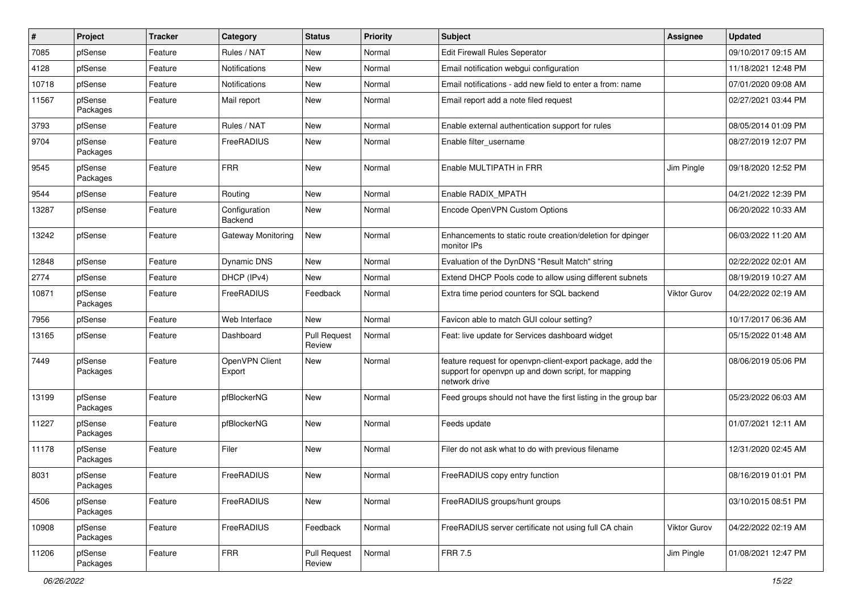| #     | Project             | <b>Tracker</b> | Category                        | <b>Status</b>                 | <b>Priority</b> | Subject                                                                                                                            | Assignee            | <b>Updated</b>      |
|-------|---------------------|----------------|---------------------------------|-------------------------------|-----------------|------------------------------------------------------------------------------------------------------------------------------------|---------------------|---------------------|
| 7085  | pfSense             | Feature        | Rules / NAT                     | New                           | Normal          | <b>Edit Firewall Rules Seperator</b>                                                                                               |                     | 09/10/2017 09:15 AM |
| 4128  | pfSense             | Feature        | <b>Notifications</b>            | <b>New</b>                    | Normal          | Email notification webgui configuration                                                                                            |                     | 11/18/2021 12:48 PM |
| 10718 | pfSense             | Feature        | <b>Notifications</b>            | New                           | Normal          | Email notifications - add new field to enter a from: name                                                                          |                     | 07/01/2020 09:08 AM |
| 11567 | pfSense<br>Packages | Feature        | Mail report                     | New                           | Normal          | Email report add a note filed request                                                                                              |                     | 02/27/2021 03:44 PM |
| 3793  | pfSense             | Feature        | Rules / NAT                     | <b>New</b>                    | Normal          | Enable external authentication support for rules                                                                                   |                     | 08/05/2014 01:09 PM |
| 9704  | pfSense<br>Packages | Feature        | FreeRADIUS                      | New                           | Normal          | Enable filter username                                                                                                             |                     | 08/27/2019 12:07 PM |
| 9545  | pfSense<br>Packages | Feature        | <b>FRR</b>                      | New                           | Normal          | Enable MULTIPATH in FRR                                                                                                            | Jim Pingle          | 09/18/2020 12:52 PM |
| 9544  | pfSense             | Feature        | Routing                         | New                           | Normal          | Enable RADIX MPATH                                                                                                                 |                     | 04/21/2022 12:39 PM |
| 13287 | pfSense             | Feature        | Configuration<br><b>Backend</b> | New                           | Normal          | Encode OpenVPN Custom Options                                                                                                      |                     | 06/20/2022 10:33 AM |
| 13242 | pfSense             | Feature        | Gateway Monitoring              | <b>New</b>                    | Normal          | Enhancements to static route creation/deletion for dpinger<br>monitor IPs                                                          |                     | 06/03/2022 11:20 AM |
| 12848 | pfSense             | Feature        | Dynamic DNS                     | <b>New</b>                    | Normal          | Evaluation of the DynDNS "Result Match" string                                                                                     |                     | 02/22/2022 02:01 AM |
| 2774  | pfSense             | Feature        | DHCP (IPv4)                     | New                           | Normal          | Extend DHCP Pools code to allow using different subnets                                                                            |                     | 08/19/2019 10:27 AM |
| 10871 | pfSense<br>Packages | Feature        | FreeRADIUS                      | Feedback                      | Normal          | Extra time period counters for SQL backend                                                                                         | Viktor Gurov        | 04/22/2022 02:19 AM |
| 7956  | pfSense             | Feature        | Web Interface                   | <b>New</b>                    | Normal          | Favicon able to match GUI colour setting?                                                                                          |                     | 10/17/2017 06:36 AM |
| 13165 | pfSense             | Feature        | Dashboard                       | <b>Pull Request</b><br>Review | Normal          | Feat: live update for Services dashboard widget                                                                                    |                     | 05/15/2022 01:48 AM |
| 7449  | pfSense<br>Packages | Feature        | OpenVPN Client<br>Export        | <b>New</b>                    | Normal          | feature request for openvpn-client-export package, add the<br>support for openypn up and down script, for mapping<br>network drive |                     | 08/06/2019 05:06 PM |
| 13199 | pfSense<br>Packages | Feature        | pfBlockerNG                     | New                           | Normal          | Feed groups should not have the first listing in the group bar                                                                     |                     | 05/23/2022 06:03 AM |
| 11227 | pfSense<br>Packages | Feature        | pfBlockerNG                     | New                           | Normal          | Feeds update                                                                                                                       |                     | 01/07/2021 12:11 AM |
| 11178 | pfSense<br>Packages | Feature        | Filer                           | New                           | Normal          | Filer do not ask what to do with previous filename                                                                                 |                     | 12/31/2020 02:45 AM |
| 8031  | pfSense<br>Packages | Feature        | FreeRADIUS                      | New                           | Normal          | FreeRADIUS copy entry function                                                                                                     |                     | 08/16/2019 01:01 PM |
| 4506  | pfSense<br>Packages | Feature        | FreeRADIUS                      | New                           | Normal          | FreeRADIUS groups/hunt groups                                                                                                      |                     | 03/10/2015 08:51 PM |
| 10908 | pfSense<br>Packages | Feature        | FreeRADIUS                      | Feedback                      | Normal          | FreeRADIUS server certificate not using full CA chain                                                                              | <b>Viktor Gurov</b> | 04/22/2022 02:19 AM |
| 11206 | pfSense<br>Packages | Feature        | <b>FRR</b>                      | <b>Pull Request</b><br>Review | Normal          | FRR 7.5                                                                                                                            | Jim Pingle          | 01/08/2021 12:47 PM |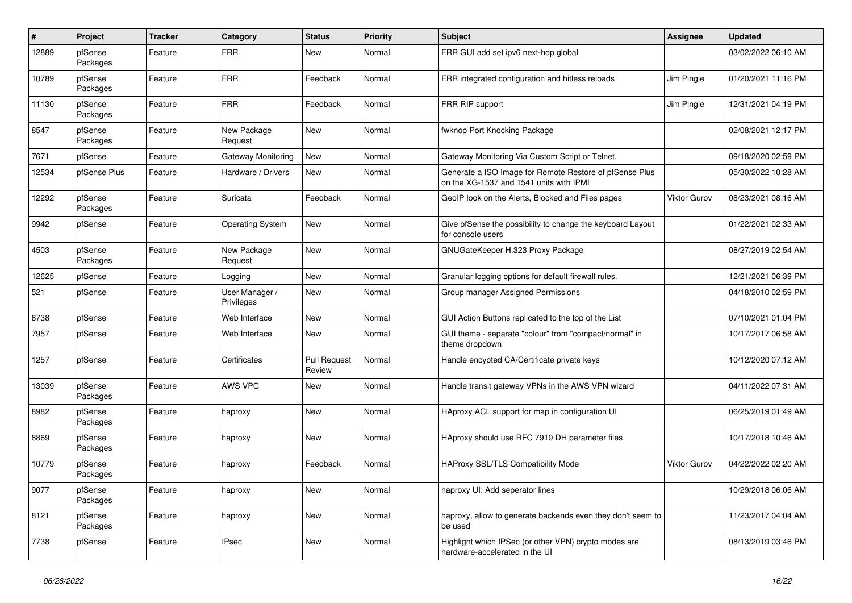| $\sharp$ | Project             | <b>Tracker</b> | Category                     | <b>Status</b>                 | Priority | <b>Subject</b>                                                                                     | Assignee            | <b>Updated</b>      |
|----------|---------------------|----------------|------------------------------|-------------------------------|----------|----------------------------------------------------------------------------------------------------|---------------------|---------------------|
| 12889    | pfSense<br>Packages | Feature        | <b>FRR</b>                   | New                           | Normal   | FRR GUI add set ipv6 next-hop global                                                               |                     | 03/02/2022 06:10 AM |
| 10789    | pfSense<br>Packages | Feature        | <b>FRR</b>                   | Feedback                      | Normal   | FRR integrated configuration and hitless reloads                                                   | Jim Pingle          | 01/20/2021 11:16 PM |
| 11130    | pfSense<br>Packages | Feature        | <b>FRR</b>                   | Feedback                      | Normal   | FRR RIP support                                                                                    | Jim Pingle          | 12/31/2021 04:19 PM |
| 8547     | pfSense<br>Packages | Feature        | New Package<br>Request       | <b>New</b>                    | Normal   | fwknop Port Knocking Package                                                                       |                     | 02/08/2021 12:17 PM |
| 7671     | pfSense             | Feature        | Gateway Monitoring           | <b>New</b>                    | Normal   | Gateway Monitoring Via Custom Script or Telnet.                                                    |                     | 09/18/2020 02:59 PM |
| 12534    | pfSense Plus        | Feature        | Hardware / Drivers           | <b>New</b>                    | Normal   | Generate a ISO Image for Remote Restore of pfSense Plus<br>on the XG-1537 and 1541 units with IPMI |                     | 05/30/2022 10:28 AM |
| 12292    | pfSense<br>Packages | Feature        | Suricata                     | Feedback                      | Normal   | GeoIP look on the Alerts, Blocked and Files pages                                                  | <b>Viktor Gurov</b> | 08/23/2021 08:16 AM |
| 9942     | pfSense             | Feature        | <b>Operating System</b>      | New                           | Normal   | Give pfSense the possibility to change the keyboard Layout<br>for console users                    |                     | 01/22/2021 02:33 AM |
| 4503     | pfSense<br>Packages | Feature        | New Package<br>Request       | New                           | Normal   | GNUGateKeeper H.323 Proxy Package                                                                  |                     | 08/27/2019 02:54 AM |
| 12625    | pfSense             | Feature        | Logging                      | <b>New</b>                    | Normal   | Granular logging options for default firewall rules.                                               |                     | 12/21/2021 06:39 PM |
| 521      | pfSense             | Feature        | User Manager /<br>Privileges | New                           | Normal   | Group manager Assigned Permissions                                                                 |                     | 04/18/2010 02:59 PM |
| 6738     | pfSense             | Feature        | Web Interface                | New                           | Normal   | GUI Action Buttons replicated to the top of the List                                               |                     | 07/10/2021 01:04 PM |
| 7957     | pfSense             | Feature        | Web Interface                | New                           | Normal   | GUI theme - separate "colour" from "compact/normal" in<br>theme dropdown                           |                     | 10/17/2017 06:58 AM |
| 1257     | pfSense             | Feature        | Certificates                 | <b>Pull Request</b><br>Review | Normal   | Handle encypted CA/Certificate private keys                                                        |                     | 10/12/2020 07:12 AM |
| 13039    | pfSense<br>Packages | Feature        | <b>AWS VPC</b>               | <b>New</b>                    | Normal   | Handle transit gateway VPNs in the AWS VPN wizard                                                  |                     | 04/11/2022 07:31 AM |
| 8982     | pfSense<br>Packages | Feature        | haproxy                      | New                           | Normal   | HAproxy ACL support for map in configuration UI                                                    |                     | 06/25/2019 01:49 AM |
| 8869     | pfSense<br>Packages | Feature        | haproxy                      | <b>New</b>                    | Normal   | HAproxy should use RFC 7919 DH parameter files                                                     |                     | 10/17/2018 10:46 AM |
| 10779    | pfSense<br>Packages | Feature        | haproxy                      | Feedback                      | Normal   | <b>HAProxy SSL/TLS Compatibility Mode</b>                                                          | <b>Viktor Gurov</b> | 04/22/2022 02:20 AM |
| 9077     | pfSense<br>Packages | Feature        | haproxy                      | New                           | Normal   | haproxy UI: Add seperator lines                                                                    |                     | 10/29/2018 06:06 AM |
| 8121     | pfSense<br>Packages | Feature        | haproxy                      | New                           | Normal   | haproxy, allow to generate backends even they don't seem to<br>be used                             |                     | 11/23/2017 04:04 AM |
| 7738     | pfSense             | Feature        | <b>IPsec</b>                 | New                           | Normal   | Highlight which IPSec (or other VPN) crypto modes are<br>hardware-accelerated in the UI            |                     | 08/13/2019 03:46 PM |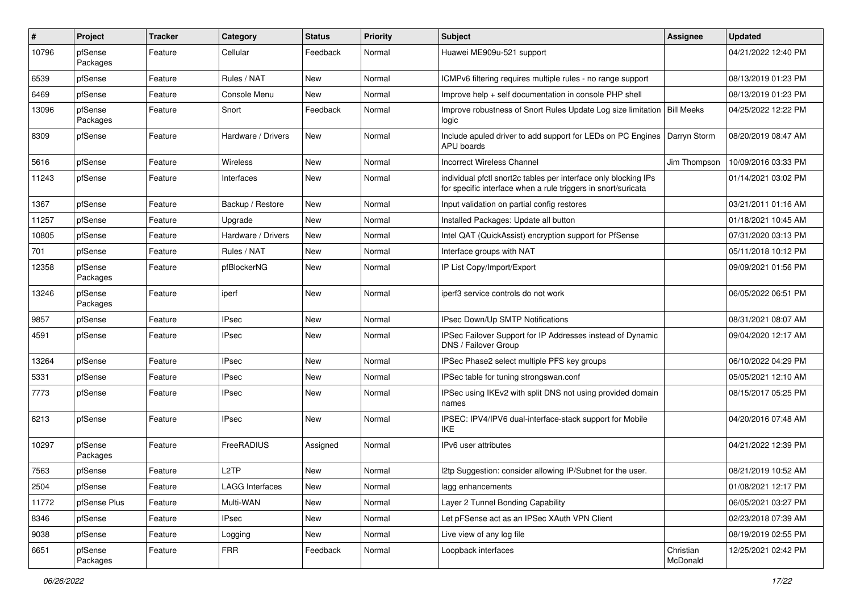| $\pmb{\#}$ | Project             | Tracker | Category               | <b>Status</b> | <b>Priority</b> | <b>Subject</b>                                                                                                                   | Assignee              | <b>Updated</b>      |
|------------|---------------------|---------|------------------------|---------------|-----------------|----------------------------------------------------------------------------------------------------------------------------------|-----------------------|---------------------|
| 10796      | pfSense<br>Packages | Feature | Cellular               | Feedback      | Normal          | Huawei ME909u-521 support                                                                                                        |                       | 04/21/2022 12:40 PM |
| 6539       | pfSense             | Feature | Rules / NAT            | New           | Normal          | ICMPv6 filtering requires multiple rules - no range support                                                                      |                       | 08/13/2019 01:23 PM |
| 6469       | pfSense             | Feature | Console Menu           | New           | Normal          | Improve help + self documentation in console PHP shell                                                                           |                       | 08/13/2019 01:23 PM |
| 13096      | pfSense<br>Packages | Feature | Snort                  | Feedback      | Normal          | Improve robustness of Snort Rules Update Log size limitation   Bill Meeks<br>logic                                               |                       | 04/25/2022 12:22 PM |
| 8309       | pfSense             | Feature | Hardware / Drivers     | New           | Normal          | Include apuled driver to add support for LEDs on PC Engines   Darryn Storm<br><b>APU</b> boards                                  |                       | 08/20/2019 08:47 AM |
| 5616       | pfSense             | Feature | Wireless               | New           | Normal          | <b>Incorrect Wireless Channel</b>                                                                                                | Jim Thompson          | 10/09/2016 03:33 PM |
| 11243      | pfSense             | Feature | Interfaces             | New           | Normal          | individual pfctl snort2c tables per interface only blocking IPs<br>for specific interface when a rule triggers in snort/suricata |                       | 01/14/2021 03:02 PM |
| 1367       | pfSense             | Feature | Backup / Restore       | New           | Normal          | Input validation on partial config restores                                                                                      |                       | 03/21/2011 01:16 AM |
| 11257      | pfSense             | Feature | Upgrade                | New           | Normal          | Installed Packages: Update all button                                                                                            |                       | 01/18/2021 10:45 AM |
| 10805      | pfSense             | Feature | Hardware / Drivers     | New           | Normal          | Intel QAT (QuickAssist) encryption support for PfSense                                                                           |                       | 07/31/2020 03:13 PM |
| 701        | pfSense             | Feature | Rules / NAT            | New           | Normal          | Interface groups with NAT                                                                                                        |                       | 05/11/2018 10:12 PM |
| 12358      | pfSense<br>Packages | Feature | pfBlockerNG            | New           | Normal          | IP List Copy/Import/Export                                                                                                       |                       | 09/09/2021 01:56 PM |
| 13246      | pfSense<br>Packages | Feature | iperf                  | New           | Normal          | iperf3 service controls do not work                                                                                              |                       | 06/05/2022 06:51 PM |
| 9857       | pfSense             | Feature | <b>IPsec</b>           | New           | Normal          | IPsec Down/Up SMTP Notifications                                                                                                 |                       | 08/31/2021 08:07 AM |
| 4591       | pfSense             | Feature | <b>IPsec</b>           | New           | Normal          | IPSec Failover Support for IP Addresses instead of Dynamic<br>DNS / Failover Group                                               |                       | 09/04/2020 12:17 AM |
| 13264      | pfSense             | Feature | <b>IPsec</b>           | New           | Normal          | IPSec Phase2 select multiple PFS key groups                                                                                      |                       | 06/10/2022 04:29 PM |
| 5331       | pfSense             | Feature | <b>IPsec</b>           | New           | Normal          | IPSec table for tuning strongswan.conf                                                                                           |                       | 05/05/2021 12:10 AM |
| 7773       | pfSense             | Feature | <b>IPsec</b>           | New           | Normal          | IPSec using IKEv2 with split DNS not using provided domain<br>names                                                              |                       | 08/15/2017 05:25 PM |
| 6213       | pfSense             | Feature | <b>IPsec</b>           | New           | Normal          | IPSEC: IPV4/IPV6 dual-interface-stack support for Mobile<br>IKE                                                                  |                       | 04/20/2016 07:48 AM |
| 10297      | pfSense<br>Packages | Feature | FreeRADIUS             | Assigned      | Normal          | IPv6 user attributes                                                                                                             |                       | 04/21/2022 12:39 PM |
| 7563       | pfSense             | Feature | L <sub>2</sub> TP      | New           | Normal          | I2tp Suggestion: consider allowing IP/Subnet for the user.                                                                       |                       | 08/21/2019 10:52 AM |
| 2504       | pfSense             | Feature | <b>LAGG Interfaces</b> | New           | Normal          | lagg enhancements                                                                                                                |                       | 01/08/2021 12:17 PM |
| 11772      | pfSense Plus        | Feature | Multi-WAN              | New           | Normal          | Layer 2 Tunnel Bonding Capability                                                                                                |                       | 06/05/2021 03:27 PM |
| 8346       | pfSense             | Feature | <b>IPsec</b>           | New           | Normal          | Let pFSense act as an IPSec XAuth VPN Client                                                                                     |                       | 02/23/2018 07:39 AM |
| 9038       | pfSense             | Feature | Logging                | New           | Normal          | Live view of any log file                                                                                                        |                       | 08/19/2019 02:55 PM |
| 6651       | pfSense<br>Packages | Feature | <b>FRR</b>             | Feedback      | Normal          | Loopback interfaces                                                                                                              | Christian<br>McDonald | 12/25/2021 02:42 PM |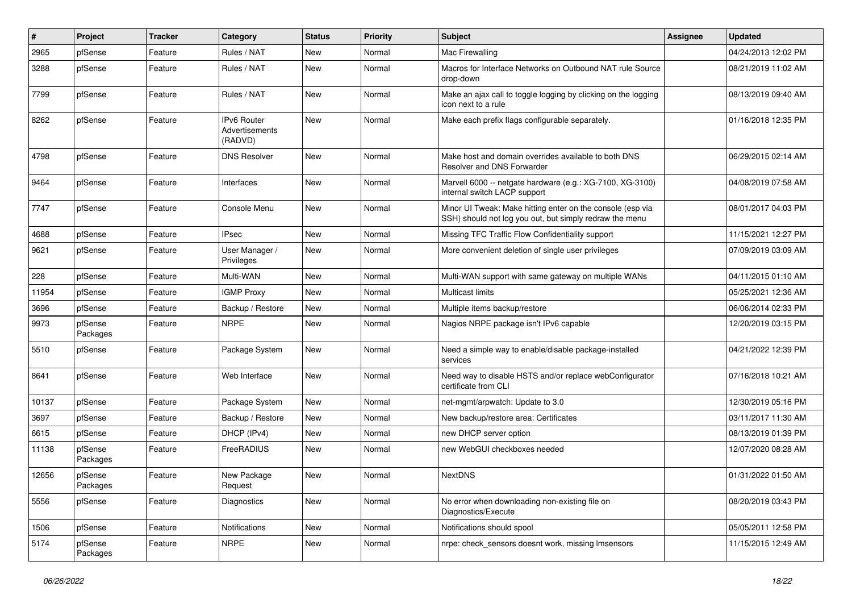| $\vert$ # | Project             | <b>Tracker</b> | Category                                        | <b>Status</b> | <b>Priority</b> | <b>Subject</b>                                                                                                        | <b>Assignee</b> | <b>Updated</b>      |
|-----------|---------------------|----------------|-------------------------------------------------|---------------|-----------------|-----------------------------------------------------------------------------------------------------------------------|-----------------|---------------------|
| 2965      | pfSense             | Feature        | Rules / NAT                                     | New           | Normal          | Mac Firewalling                                                                                                       |                 | 04/24/2013 12:02 PM |
| 3288      | pfSense             | Feature        | Rules / NAT                                     | <b>New</b>    | Normal          | Macros for Interface Networks on Outbound NAT rule Source<br>drop-down                                                |                 | 08/21/2019 11:02 AM |
| 7799      | pfSense             | Feature        | Rules / NAT                                     | <b>New</b>    | Normal          | Make an ajax call to toggle logging by clicking on the logging<br>icon next to a rule                                 |                 | 08/13/2019 09:40 AM |
| 8262      | pfSense             | Feature        | <b>IPv6 Router</b><br>Advertisements<br>(RADVD) | <b>New</b>    | Normal          | Make each prefix flags configurable separately.                                                                       |                 | 01/16/2018 12:35 PM |
| 4798      | pfSense             | Feature        | <b>DNS Resolver</b>                             | <b>New</b>    | Normal          | Make host and domain overrides available to both DNS<br>Resolver and DNS Forwarder                                    |                 | 06/29/2015 02:14 AM |
| 9464      | pfSense             | Feature        | Interfaces                                      | <b>New</b>    | Normal          | Marvell 6000 -- netgate hardware (e.g.: XG-7100, XG-3100)<br>internal switch LACP support                             |                 | 04/08/2019 07:58 AM |
| 7747      | pfSense             | Feature        | Console Menu                                    | New           | Normal          | Minor UI Tweak: Make hitting enter on the console (esp via<br>SSH) should not log you out, but simply redraw the menu |                 | 08/01/2017 04:03 PM |
| 4688      | pfSense             | Feature        | <b>IPsec</b>                                    | <b>New</b>    | Normal          | Missing TFC Traffic Flow Confidentiality support                                                                      |                 | 11/15/2021 12:27 PM |
| 9621      | pfSense             | Feature        | User Manager /<br>Privileges                    | New           | Normal          | More convenient deletion of single user privileges                                                                    |                 | 07/09/2019 03:09 AM |
| 228       | pfSense             | Feature        | Multi-WAN                                       | New           | Normal          | Multi-WAN support with same gateway on multiple WANs                                                                  |                 | 04/11/2015 01:10 AM |
| 11954     | pfSense             | Feature        | <b>IGMP Proxy</b>                               | <b>New</b>    | Normal          | <b>Multicast limits</b>                                                                                               |                 | 05/25/2021 12:36 AM |
| 3696      | pfSense             | Feature        | Backup / Restore                                | New           | Normal          | Multiple items backup/restore                                                                                         |                 | 06/06/2014 02:33 PM |
| 9973      | pfSense<br>Packages | Feature        | <b>NRPE</b>                                     | New           | Normal          | Nagios NRPE package isn't IPv6 capable                                                                                |                 | 12/20/2019 03:15 PM |
| 5510      | pfSense             | Feature        | Package System                                  | New           | Normal          | Need a simple way to enable/disable package-installed<br>services                                                     |                 | 04/21/2022 12:39 PM |
| 8641      | pfSense             | Feature        | Web Interface                                   | New           | Normal          | Need way to disable HSTS and/or replace webConfigurator<br>certificate from CLI                                       |                 | 07/16/2018 10:21 AM |
| 10137     | pfSense             | Feature        | Package System                                  | New           | Normal          | net-mgmt/arpwatch: Update to 3.0                                                                                      |                 | 12/30/2019 05:16 PM |
| 3697      | pfSense             | Feature        | Backup / Restore                                | <b>New</b>    | Normal          | New backup/restore area: Certificates                                                                                 |                 | 03/11/2017 11:30 AM |
| 6615      | pfSense             | Feature        | DHCP (IPv4)                                     | New           | Normal          | new DHCP server option                                                                                                |                 | 08/13/2019 01:39 PM |
| 11138     | pfSense<br>Packages | Feature        | FreeRADIUS                                      | New           | Normal          | new WebGUI checkboxes needed                                                                                          |                 | 12/07/2020 08:28 AM |
| 12656     | pfSense<br>Packages | Feature        | New Package<br>Request                          | New           | Normal          | <b>NextDNS</b>                                                                                                        |                 | 01/31/2022 01:50 AM |
| 5556      | pfSense             | Feature        | Diagnostics                                     | New           | Normal          | No error when downloading non-existing file on<br>Diagnostics/Execute                                                 |                 | 08/20/2019 03:43 PM |
| 1506      | pfSense             | Feature        | Notifications                                   | New           | Normal          | Notifications should spool                                                                                            |                 | 05/05/2011 12:58 PM |
| 5174      | pfSense<br>Packages | Feature        | <b>NRPE</b>                                     | New           | Normal          | nrpe: check_sensors doesnt work, missing Imsensors                                                                    |                 | 11/15/2015 12:49 AM |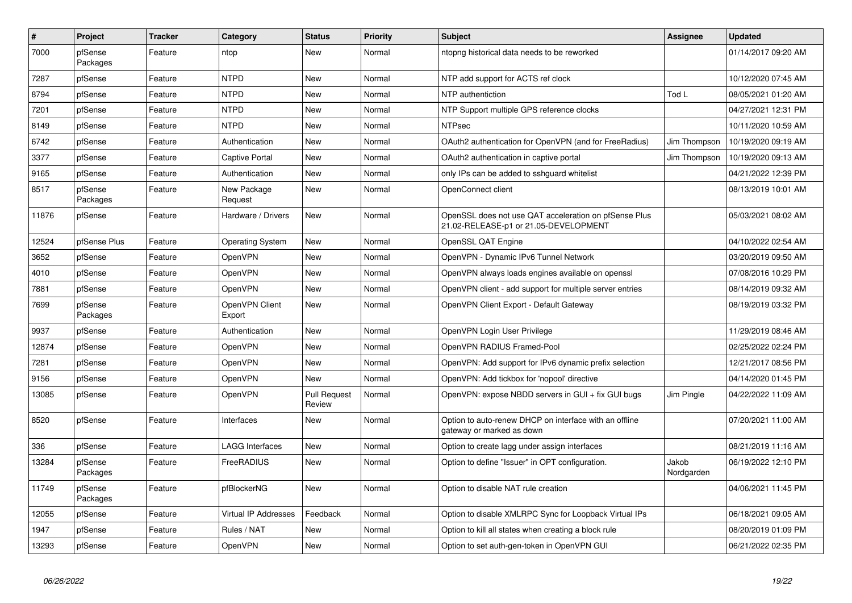| $\vert$ # | Project             | <b>Tracker</b> | Category                 | <b>Status</b>                 | <b>Priority</b> | <b>Subject</b>                                                                                 | <b>Assignee</b>     | <b>Updated</b>      |
|-----------|---------------------|----------------|--------------------------|-------------------------------|-----------------|------------------------------------------------------------------------------------------------|---------------------|---------------------|
| 7000      | pfSense<br>Packages | Feature        | ntop                     | New                           | Normal          | ntopng historical data needs to be reworked                                                    |                     | 01/14/2017 09:20 AM |
| 7287      | pfSense             | Feature        | <b>NTPD</b>              | New                           | Normal          | NTP add support for ACTS ref clock                                                             |                     | 10/12/2020 07:45 AM |
| 8794      | pfSense             | Feature        | <b>NTPD</b>              | New                           | Normal          | NTP authentiction                                                                              | Tod L               | 08/05/2021 01:20 AM |
| 7201      | pfSense             | Feature        | <b>NTPD</b>              | New                           | Normal          | NTP Support multiple GPS reference clocks                                                      |                     | 04/27/2021 12:31 PM |
| 8149      | pfSense             | Feature        | <b>NTPD</b>              | New                           | Normal          | <b>NTPsec</b>                                                                                  |                     | 10/11/2020 10:59 AM |
| 6742      | pfSense             | Feature        | Authentication           | New                           | Normal          | OAuth2 authentication for OpenVPN (and for FreeRadius)                                         | Jim Thompson        | 10/19/2020 09:19 AM |
| 3377      | pfSense             | Feature        | <b>Captive Portal</b>    | <b>New</b>                    | Normal          | OAuth2 authentication in captive portal                                                        | Jim Thompson        | 10/19/2020 09:13 AM |
| 9165      | pfSense             | Feature        | Authentication           | <b>New</b>                    | Normal          | only IPs can be added to sshguard whitelist                                                    |                     | 04/21/2022 12:39 PM |
| 8517      | pfSense<br>Packages | Feature        | New Package<br>Request   | New                           | Normal          | OpenConnect client                                                                             |                     | 08/13/2019 10:01 AM |
| 11876     | pfSense             | Feature        | Hardware / Drivers       | New                           | Normal          | OpenSSL does not use QAT acceleration on pfSense Plus<br>21.02-RELEASE-p1 or 21.05-DEVELOPMENT |                     | 05/03/2021 08:02 AM |
| 12524     | pfSense Plus        | Feature        | <b>Operating System</b>  | New                           | Normal          | OpenSSL QAT Engine                                                                             |                     | 04/10/2022 02:54 AM |
| 3652      | pfSense             | Feature        | OpenVPN                  | New                           | Normal          | OpenVPN - Dynamic IPv6 Tunnel Network                                                          |                     | 03/20/2019 09:50 AM |
| 4010      | pfSense             | Feature        | OpenVPN                  | New                           | Normal          | OpenVPN always loads engines available on openssl                                              |                     | 07/08/2016 10:29 PM |
| 7881      | pfSense             | Feature        | OpenVPN                  | New                           | Normal          | OpenVPN client - add support for multiple server entries                                       |                     | 08/14/2019 09:32 AM |
| 7699      | pfSense<br>Packages | Feature        | OpenVPN Client<br>Export | New                           | Normal          | OpenVPN Client Export - Default Gateway                                                        |                     | 08/19/2019 03:32 PM |
| 9937      | pfSense             | Feature        | Authentication           | New                           | Normal          | OpenVPN Login User Privilege                                                                   |                     | 11/29/2019 08:46 AM |
| 12874     | pfSense             | Feature        | OpenVPN                  | New                           | Normal          | OpenVPN RADIUS Framed-Pool                                                                     |                     | 02/25/2022 02:24 PM |
| 7281      | pfSense             | Feature        | OpenVPN                  | New                           | Normal          | OpenVPN: Add support for IPv6 dynamic prefix selection                                         |                     | 12/21/2017 08:56 PM |
| 9156      | pfSense             | Feature        | OpenVPN                  | New                           | Normal          | OpenVPN: Add tickbox for 'nopool' directive                                                    |                     | 04/14/2020 01:45 PM |
| 13085     | pfSense             | Feature        | OpenVPN                  | <b>Pull Request</b><br>Review | Normal          | OpenVPN: expose NBDD servers in GUI + fix GUI bugs                                             | Jim Pingle          | 04/22/2022 11:09 AM |
| 8520      | pfSense             | Feature        | Interfaces               | New                           | Normal          | Option to auto-renew DHCP on interface with an offline<br>gateway or marked as down            |                     | 07/20/2021 11:00 AM |
| 336       | pfSense             | Feature        | <b>LAGG Interfaces</b>   | <b>New</b>                    | Normal          | Option to create lagg under assign interfaces                                                  |                     | 08/21/2019 11:16 AM |
| 13284     | pfSense<br>Packages | Feature        | FreeRADIUS               | New                           | Normal          | Option to define "Issuer" in OPT configuration.                                                | Jakob<br>Nordgarden | 06/19/2022 12:10 PM |
| 11749     | pfSense<br>Packages | Feature        | pfBlockerNG              | <b>New</b>                    | Normal          | Option to disable NAT rule creation                                                            |                     | 04/06/2021 11:45 PM |
| 12055     | pfSense             | Feature        | Virtual IP Addresses     | Feedback                      | Normal          | Option to disable XMLRPC Sync for Loopback Virtual IPs                                         |                     | 06/18/2021 09:05 AM |
| 1947      | pfSense             | Feature        | Rules / NAT              | <b>New</b>                    | Normal          | Option to kill all states when creating a block rule                                           |                     | 08/20/2019 01:09 PM |
| 13293     | pfSense             | Feature        | OpenVPN                  | New                           | Normal          | Option to set auth-gen-token in OpenVPN GUI                                                    |                     | 06/21/2022 02:35 PM |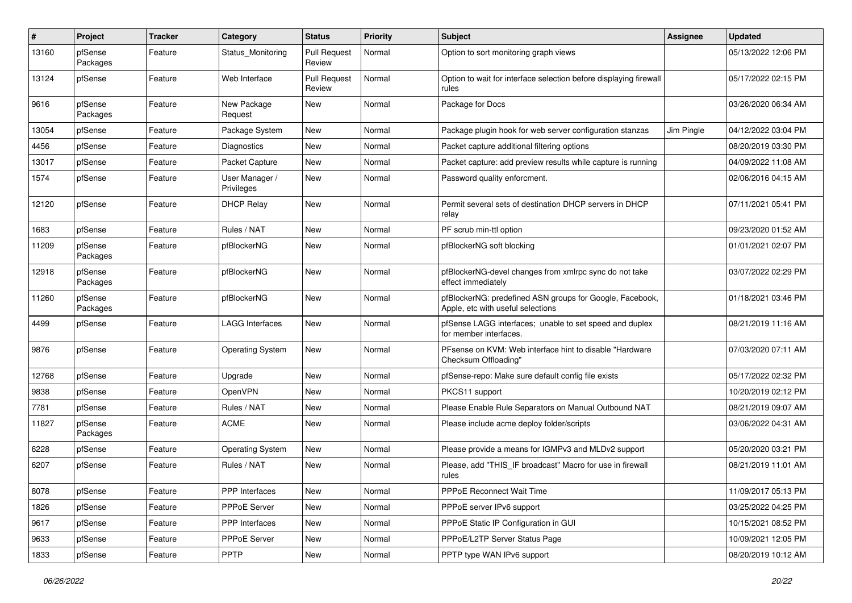| #     | Project             | <b>Tracker</b> | Category                     | <b>Status</b>                 | <b>Priority</b> | <b>Subject</b>                                                                                | Assignee   | <b>Updated</b>      |
|-------|---------------------|----------------|------------------------------|-------------------------------|-----------------|-----------------------------------------------------------------------------------------------|------------|---------------------|
| 13160 | pfSense<br>Packages | Feature        | Status Monitoring            | <b>Pull Request</b><br>Review | Normal          | Option to sort monitoring graph views                                                         |            | 05/13/2022 12:06 PM |
| 13124 | pfSense             | Feature        | Web Interface                | <b>Pull Request</b><br>Review | Normal          | Option to wait for interface selection before displaying firewall<br>rules                    |            | 05/17/2022 02:15 PM |
| 9616  | pfSense<br>Packages | Feature        | New Package<br>Request       | New                           | Normal          | Package for Docs                                                                              |            | 03/26/2020 06:34 AM |
| 13054 | pfSense             | Feature        | Package System               | New                           | Normal          | Package plugin hook for web server configuration stanzas                                      | Jim Pingle | 04/12/2022 03:04 PM |
| 4456  | pfSense             | Feature        | Diagnostics                  | <b>New</b>                    | Normal          | Packet capture additional filtering options                                                   |            | 08/20/2019 03:30 PM |
| 13017 | pfSense             | Feature        | Packet Capture               | <b>New</b>                    | Normal          | Packet capture: add preview results while capture is running                                  |            | 04/09/2022 11:08 AM |
| 1574  | pfSense             | Feature        | User Manager /<br>Privileges | New                           | Normal          | Password quality enforcment.                                                                  |            | 02/06/2016 04:15 AM |
| 12120 | pfSense             | Feature        | <b>DHCP Relay</b>            | New                           | Normal          | Permit several sets of destination DHCP servers in DHCP<br>relay                              |            | 07/11/2021 05:41 PM |
| 1683  | pfSense             | Feature        | Rules / NAT                  | <b>New</b>                    | Normal          | PF scrub min-ttl option                                                                       |            | 09/23/2020 01:52 AM |
| 11209 | pfSense<br>Packages | Feature        | pfBlockerNG                  | New                           | Normal          | pfBlockerNG soft blocking                                                                     |            | 01/01/2021 02:07 PM |
| 12918 | pfSense<br>Packages | Feature        | pfBlockerNG                  | New                           | Normal          | pfBlockerNG-devel changes from xmlrpc sync do not take<br>effect immediately                  |            | 03/07/2022 02:29 PM |
| 11260 | pfSense<br>Packages | Feature        | pfBlockerNG                  | New                           | Normal          | pfBlockerNG: predefined ASN groups for Google, Facebook,<br>Apple, etc with useful selections |            | 01/18/2021 03:46 PM |
| 4499  | pfSense             | Feature        | <b>LAGG Interfaces</b>       | <b>New</b>                    | Normal          | pfSense LAGG interfaces; unable to set speed and duplex<br>for member interfaces.             |            | 08/21/2019 11:16 AM |
| 9876  | pfSense             | Feature        | <b>Operating System</b>      | New                           | Normal          | PFsense on KVM: Web interface hint to disable "Hardware<br>Checksum Offloading"               |            | 07/03/2020 07:11 AM |
| 12768 | pfSense             | Feature        | Upgrade                      | New                           | Normal          | pfSense-repo: Make sure default config file exists                                            |            | 05/17/2022 02:32 PM |
| 9838  | pfSense             | Feature        | OpenVPN                      | New                           | Normal          | PKCS11 support                                                                                |            | 10/20/2019 02:12 PM |
| 7781  | pfSense             | Feature        | Rules / NAT                  | New                           | Normal          | Please Enable Rule Separators on Manual Outbound NAT                                          |            | 08/21/2019 09:07 AM |
| 11827 | pfSense<br>Packages | Feature        | <b>ACME</b>                  | New                           | Normal          | Please include acme deploy folder/scripts                                                     |            | 03/06/2022 04:31 AM |
| 6228  | pfSense             | Feature        | <b>Operating System</b>      | New                           | Normal          | Please provide a means for IGMPv3 and MLDv2 support                                           |            | 05/20/2020 03:21 PM |
| 6207  | pfSense             | Feature        | Rules / NAT                  | New                           | Normal          | Please, add "THIS_IF broadcast" Macro for use in firewall<br>rules                            |            | 08/21/2019 11:01 AM |
| 8078  | pfSense             | Feature        | <b>PPP</b> Interfaces        | <b>New</b>                    | Normal          | PPPoE Reconnect Wait Time                                                                     |            | 11/09/2017 05:13 PM |
| 1826  | pfSense             | Feature        | PPPoE Server                 | New                           | Normal          | PPPoE server IPv6 support                                                                     |            | 03/25/2022 04:25 PM |
| 9617  | pfSense             | Feature        | PPP Interfaces               | <b>New</b>                    | Normal          | PPPoE Static IP Configuration in GUI                                                          |            | 10/15/2021 08:52 PM |
| 9633  | pfSense             | Feature        | PPPoE Server                 | New                           | Normal          | PPPoE/L2TP Server Status Page                                                                 |            | 10/09/2021 12:05 PM |
| 1833  | pfSense             | Feature        | <b>PPTP</b>                  | New                           | Normal          | PPTP type WAN IPv6 support                                                                    |            | 08/20/2019 10:12 AM |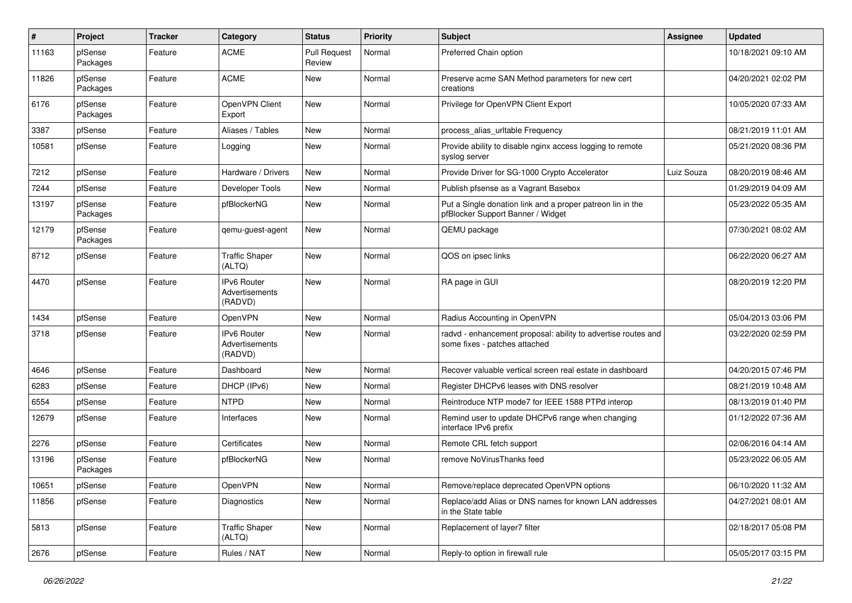| $\sharp$ | Project             | <b>Tracker</b> | Category                                        | <b>Status</b>                 | <b>Priority</b> | <b>Subject</b>                                                                                  | Assignee   | <b>Updated</b>      |
|----------|---------------------|----------------|-------------------------------------------------|-------------------------------|-----------------|-------------------------------------------------------------------------------------------------|------------|---------------------|
| 11163    | pfSense<br>Packages | Feature        | <b>ACME</b>                                     | <b>Pull Request</b><br>Review | Normal          | Preferred Chain option                                                                          |            | 10/18/2021 09:10 AM |
| 11826    | pfSense<br>Packages | Feature        | <b>ACME</b>                                     | <b>New</b>                    | Normal          | Preserve acme SAN Method parameters for new cert<br>creations                                   |            | 04/20/2021 02:02 PM |
| 6176     | pfSense<br>Packages | Feature        | OpenVPN Client<br>Export                        | New                           | Normal          | Privilege for OpenVPN Client Export                                                             |            | 10/05/2020 07:33 AM |
| 3387     | pfSense             | Feature        | Aliases / Tables                                | New                           | Normal          | process_alias_urItable Frequency                                                                |            | 08/21/2019 11:01 AM |
| 10581    | pfSense             | Feature        | Logging                                         | New                           | Normal          | Provide ability to disable nginx access logging to remote<br>syslog server                      |            | 05/21/2020 08:36 PM |
| 7212     | pfSense             | Feature        | Hardware / Drivers                              | <b>New</b>                    | Normal          | Provide Driver for SG-1000 Crypto Accelerator                                                   | Luiz Souza | 08/20/2019 08:46 AM |
| 7244     | pfSense             | Feature        | Developer Tools                                 | New                           | Normal          | Publish pfsense as a Vagrant Basebox                                                            |            | 01/29/2019 04:09 AM |
| 13197    | pfSense<br>Packages | Feature        | pfBlockerNG                                     | New                           | Normal          | Put a Single donation link and a proper patreon lin in the<br>pfBlocker Support Banner / Widget |            | 05/23/2022 05:35 AM |
| 12179    | pfSense<br>Packages | Feature        | qemu-guest-agent                                | New                           | Normal          | QEMU package                                                                                    |            | 07/30/2021 08:02 AM |
| 8712     | pfSense             | Feature        | <b>Traffic Shaper</b><br>(ALTQ)                 | New                           | Normal          | QOS on ipsec links                                                                              |            | 06/22/2020 06:27 AM |
| 4470     | pfSense             | Feature        | <b>IPv6 Router</b><br>Advertisements<br>(RADVD) | New                           | Normal          | RA page in GUI                                                                                  |            | 08/20/2019 12:20 PM |
| 1434     | pfSense             | Feature        | OpenVPN                                         | <b>New</b>                    | Normal          | Radius Accounting in OpenVPN                                                                    |            | 05/04/2013 03:06 PM |
| 3718     | pfSense             | Feature        | IPv6 Router<br>Advertisements<br>(RADVD)        | New                           | Normal          | radvd - enhancement proposal: ability to advertise routes and<br>some fixes - patches attached  |            | 03/22/2020 02:59 PM |
| 4646     | pfSense             | Feature        | Dashboard                                       | <b>New</b>                    | Normal          | Recover valuable vertical screen real estate in dashboard                                       |            | 04/20/2015 07:46 PM |
| 6283     | pfSense             | Feature        | DHCP (IPv6)                                     | New                           | Normal          | Register DHCPv6 leases with DNS resolver                                                        |            | 08/21/2019 10:48 AM |
| 6554     | pfSense             | Feature        | <b>NTPD</b>                                     | New                           | Normal          | Reintroduce NTP mode7 for IEEE 1588 PTPd interop                                                |            | 08/13/2019 01:40 PM |
| 12679    | pfSense             | Feature        | Interfaces                                      | New                           | Normal          | Remind user to update DHCPv6 range when changing<br>interface IPv6 prefix                       |            | 01/12/2022 07:36 AM |
| 2276     | pfSense             | Feature        | Certificates                                    | <b>New</b>                    | Normal          | Remote CRL fetch support                                                                        |            | 02/06/2016 04:14 AM |
| 13196    | pfSense<br>Packages | Feature        | pfBlockerNG                                     | New                           | Normal          | remove NoVirusThanks feed                                                                       |            | 05/23/2022 06:05 AM |
| 10651    | pfSense             | Feature        | OpenVPN                                         | New                           | Normal          | Remove/replace deprecated OpenVPN options                                                       |            | 06/10/2020 11:32 AM |
| 11856    | pfSense             | Feature        | Diagnostics                                     | New                           | Normal          | Replace/add Alias or DNS names for known LAN addresses<br>in the State table                    |            | 04/27/2021 08:01 AM |
| 5813     | pfSense             | Feature        | <b>Traffic Shaper</b><br>(ALTQ)                 | <b>New</b>                    | Normal          | Replacement of layer7 filter                                                                    |            | 02/18/2017 05:08 PM |
| 2676     | pfSense             | Feature        | Rules / NAT                                     | New                           | Normal          | Reply-to option in firewall rule                                                                |            | 05/05/2017 03:15 PM |